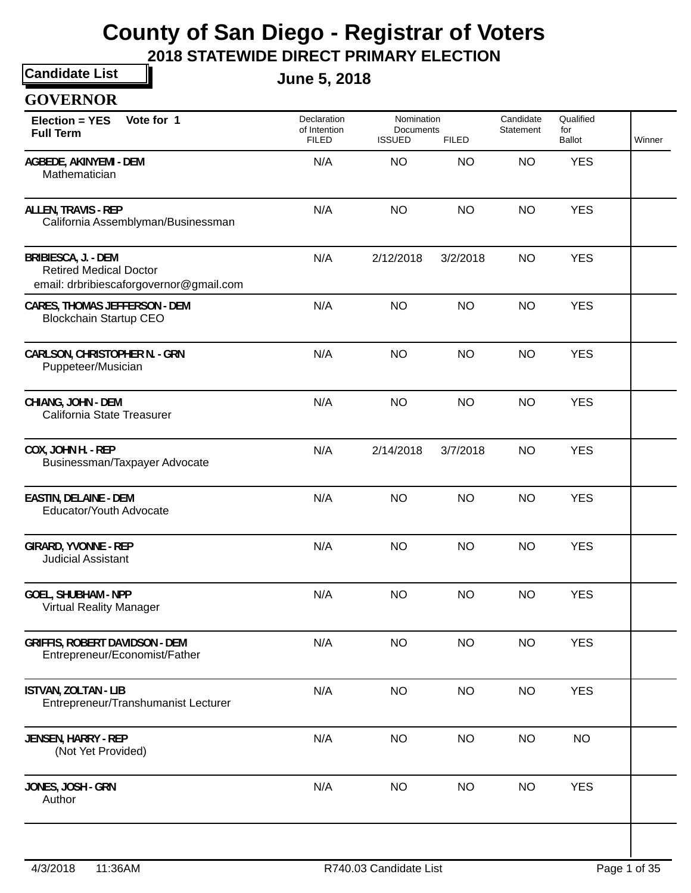**2018 STATEWIDE DIRECT PRIMARY ELECTION**

**Candidate List**

**June 5, 2018**

| <b>GOVERNOR</b>                                                                                        |                                             |                                          |              |                        |                            |        |
|--------------------------------------------------------------------------------------------------------|---------------------------------------------|------------------------------------------|--------------|------------------------|----------------------------|--------|
| Vote for 1<br><b>Election = YES</b><br><b>Full Term</b>                                                | Declaration<br>of Intention<br><b>FILED</b> | Nomination<br>Documents<br><b>ISSUED</b> | <b>FILED</b> | Candidate<br>Statement | Qualified<br>for<br>Ballot | Winner |
| AGBEDE, AKINYEMI - DEM<br>Mathematician                                                                | N/A                                         | <b>NO</b>                                | <b>NO</b>    | <b>NO</b>              | <b>YES</b>                 |        |
| <b>ALLEN, TRAVIS - REP</b><br>California Assemblyman/Businessman                                       | N/A                                         | <b>NO</b>                                | <b>NO</b>    | <b>NO</b>              | <b>YES</b>                 |        |
| <b>BRIBIESCA, J. - DEM</b><br><b>Retired Medical Doctor</b><br>email: drbribiescaforgovernor@gmail.com | N/A                                         | 2/12/2018                                | 3/2/2018     | <b>NO</b>              | <b>YES</b>                 |        |
| CARES, THOMAS JEFFERSON - DEM<br><b>Blockchain Startup CEO</b>                                         | N/A                                         | <b>NO</b>                                | <b>NO</b>    | <b>NO</b>              | <b>YES</b>                 |        |
| <b>CARLSON, CHRISTOPHER N. - GRN</b><br>Puppeteer/Musician                                             | N/A                                         | <b>NO</b>                                | <b>NO</b>    | <b>NO</b>              | <b>YES</b>                 |        |
| CHIANG, JOHN - DEM<br>California State Treasurer                                                       | N/A                                         | <b>NO</b>                                | <b>NO</b>    | <b>NO</b>              | <b>YES</b>                 |        |
| COX, JOHN H. - REP<br>Businessman/Taxpayer Advocate                                                    | N/A                                         | 2/14/2018                                | 3/7/2018     | <b>NO</b>              | <b>YES</b>                 |        |
| <b>EASTIN, DELAINE - DEM</b><br>Educator/Youth Advocate                                                | N/A                                         | <b>NO</b>                                | <b>NO</b>    | <b>NO</b>              | <b>YES</b>                 |        |
| <b>GIRARD, YVONNE - REP</b><br><b>Judicial Assistant</b>                                               | N/A                                         | <b>NO</b>                                | <b>NO</b>    | <b>NO</b>              | <b>YES</b>                 |        |
| <b>GOEL, SHUBHAM - NPP</b><br><b>Virtual Reality Manager</b>                                           | N/A                                         | NO.                                      | <b>NO</b>    | <b>NO</b>              | <b>YES</b>                 |        |
| <b>GRIFFIS, ROBERT DAVIDSON - DEM</b><br>Entrepreneur/Economist/Father                                 | N/A                                         | <b>NO</b>                                | <b>NO</b>    | <b>NO</b>              | <b>YES</b>                 |        |
| <b>ISTVAN, ZOLTAN - LIB</b><br>Entrepreneur/Transhumanist Lecturer                                     | N/A                                         | <b>NO</b>                                | <b>NO</b>    | <b>NO</b>              | <b>YES</b>                 |        |
| JENSEN, HARRY - REP<br>(Not Yet Provided)                                                              | N/A                                         | <b>NO</b>                                | <b>NO</b>    | <b>NO</b>              | <b>NO</b>                  |        |
| JONES, JOSH - GRN<br>Author                                                                            | N/A                                         | <b>NO</b>                                | <b>NO</b>    | <b>NO</b>              | <b>YES</b>                 |        |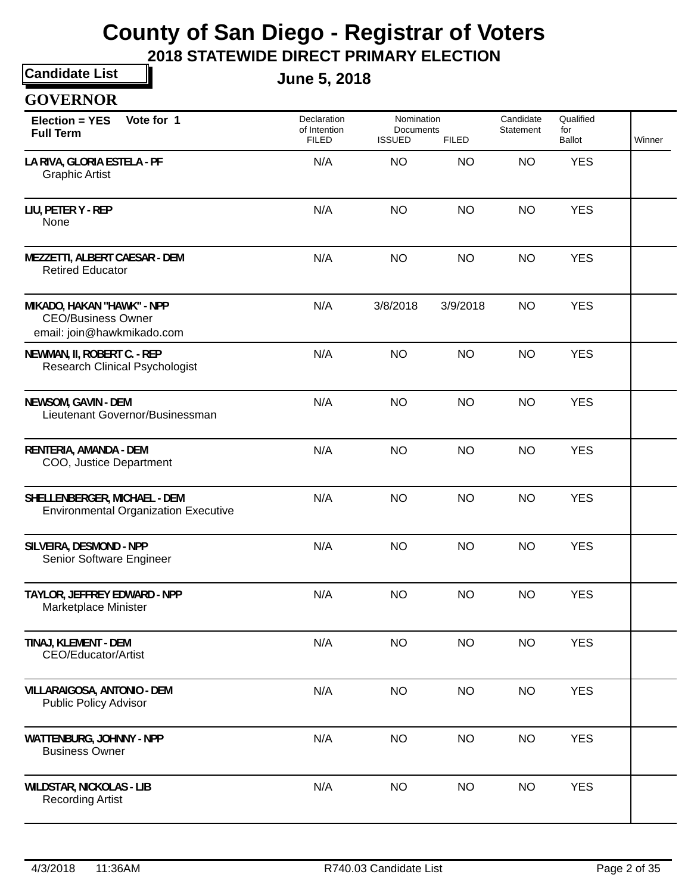**2018 STATEWIDE DIRECT PRIMARY ELECTION**

**Candidate List GOVERNOR**

**June 5, 2018**

| Vote for 1<br><b>Election = YES</b><br><b>Full Term</b>                               | Declaration<br>of Intention<br><b>FILED</b> | Nomination<br>Documents<br><b>ISSUED</b> | <b>FILED</b> | Candidate<br>Statement | Qualified<br>for<br>Ballot | Winner |
|---------------------------------------------------------------------------------------|---------------------------------------------|------------------------------------------|--------------|------------------------|----------------------------|--------|
| LA RIVA, GLORIA ESTELA - PF<br><b>Graphic Artist</b>                                  | N/A                                         | <b>NO</b>                                | <b>NO</b>    | <b>NO</b>              | <b>YES</b>                 |        |
| LIU, PETER Y - REP<br>None                                                            | N/A                                         | <b>NO</b>                                | <b>NO</b>    | <b>NO</b>              | <b>YES</b>                 |        |
| MEZZETTI, ALBERT CAESAR - DEM<br><b>Retired Educator</b>                              | N/A                                         | <b>NO</b>                                | <b>NO</b>    | <b>NO</b>              | <b>YES</b>                 |        |
| MIKADO, HAKAN "HAWK" - NPP<br><b>CEO/Business Owner</b><br>email: join@hawkmikado.com | N/A                                         | 3/8/2018                                 | 3/9/2018     | <b>NO</b>              | <b>YES</b>                 |        |
| NEWMAN, II, ROBERT C. - REP<br><b>Research Clinical Psychologist</b>                  | N/A                                         | <b>NO</b>                                | <b>NO</b>    | <b>NO</b>              | <b>YES</b>                 |        |
| NEWSOM, GAVIN - DEM<br>Lieutenant Governor/Businessman                                | N/A                                         | <b>NO</b>                                | <b>NO</b>    | <b>NO</b>              | <b>YES</b>                 |        |
| RENTERIA, AMANDA - DEM<br>COO, Justice Department                                     | N/A                                         | <b>NO</b>                                | <b>NO</b>    | <b>NO</b>              | <b>YES</b>                 |        |
| SHELLENBERGER, MICHAEL - DEM<br><b>Environmental Organization Executive</b>           | N/A                                         | <b>NO</b>                                | <b>NO</b>    | <b>NO</b>              | <b>YES</b>                 |        |
| SILVEIRA, DESMOND - NPP<br>Senior Software Engineer                                   | N/A                                         | <b>NO</b>                                | <b>NO</b>    | <b>NO</b>              | <b>YES</b>                 |        |
| TAYLOR, JEFFREY EDWARD - NPP<br>Marketplace Minister                                  | N/A                                         | <b>NO</b>                                | <b>NO</b>    | <b>NO</b>              | <b>YES</b>                 |        |
| TINAJ, KLEMENT - DEM<br>CEO/Educator/Artist                                           | N/A                                         | <b>NO</b>                                | <b>NO</b>    | <b>NO</b>              | <b>YES</b>                 |        |
| VILLARAIGOSA, ANTONIO - DEM<br><b>Public Policy Advisor</b>                           | N/A                                         | <b>NO</b>                                | <b>NO</b>    | <b>NO</b>              | <b>YES</b>                 |        |
| WATTENBURG, JOHNNY - NPP<br><b>Business Owner</b>                                     | N/A                                         | <b>NO</b>                                | <b>NO</b>    | <b>NO</b>              | <b>YES</b>                 |        |
| <b>WILDSTAR, NICKOLAS - LIB</b><br><b>Recording Artist</b>                            | N/A                                         | <b>NO</b>                                | <b>NO</b>    | <b>NO</b>              | <b>YES</b>                 |        |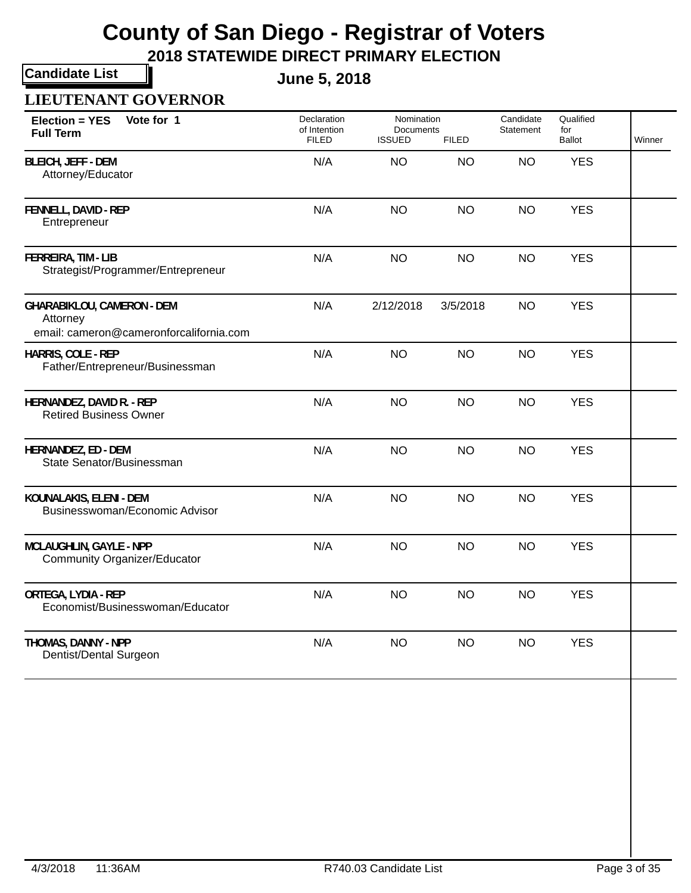**2018 STATEWIDE DIRECT PRIMARY ELECTION**

**Candidate List**

**June 5, 2018**

### **LIEUTENANT GOVERNOR**

| Vote for 1<br><b>Election = YES</b><br><b>Full Term</b>                                  | Declaration<br>of Intention<br><b>FILED</b> | Nomination<br>Documents<br><b>ISSUED</b> | <b>FILED</b> | Candidate<br>Statement | Qualified<br>for<br><b>Ballot</b> | Winner |
|------------------------------------------------------------------------------------------|---------------------------------------------|------------------------------------------|--------------|------------------------|-----------------------------------|--------|
| <b>BLEICH, JEFF - DEM</b><br>Attorney/Educator                                           | N/A                                         | <b>NO</b>                                | <b>NO</b>    | <b>NO</b>              | <b>YES</b>                        |        |
| FENNELL, DAVID - REP<br>Entrepreneur                                                     | N/A                                         | <b>NO</b>                                | <b>NO</b>    | <b>NO</b>              | <b>YES</b>                        |        |
| FERREIRA, TIM - LIB<br>Strategist/Programmer/Entrepreneur                                | N/A                                         | <b>NO</b>                                | <b>NO</b>    | <b>NO</b>              | <b>YES</b>                        |        |
| <b>GHARABIKLOU, CAMERON - DEM</b><br>Attorney<br>email: cameron@cameronforcalifornia.com | N/A                                         | 2/12/2018                                | 3/5/2018     | <b>NO</b>              | <b>YES</b>                        |        |
| HARRIS, COLE - REP<br>Father/Entrepreneur/Businessman                                    | N/A                                         | <b>NO</b>                                | <b>NO</b>    | <b>NO</b>              | <b>YES</b>                        |        |
| HERNANDEZ, DAVID R. - REP<br><b>Retired Business Owner</b>                               | N/A                                         | <b>NO</b>                                | <b>NO</b>    | <b>NO</b>              | <b>YES</b>                        |        |
| HERNANDEZ, ED - DEM<br>State Senator/Businessman                                         | N/A                                         | <b>NO</b>                                | <b>NO</b>    | <b>NO</b>              | <b>YES</b>                        |        |
| KOUNALAKIS, ELENI - DEM<br>Businesswoman/Economic Advisor                                | N/A                                         | <b>NO</b>                                | <b>NO</b>    | <b>NO</b>              | <b>YES</b>                        |        |
| MCLAUGHLIN, GAYLE - NPP<br><b>Community Organizer/Educator</b>                           | N/A                                         | <b>NO</b>                                | <b>NO</b>    | <b>NO</b>              | <b>YES</b>                        |        |
| ORTEGA, LYDIA - REP<br>Economist/Businesswoman/Educator                                  | N/A                                         | <b>NO</b>                                | <b>NO</b>    | <b>NO</b>              | <b>YES</b>                        |        |
| THOMAS, DANNY - NPP<br>Dentist/Dental Surgeon                                            | N/A                                         | <b>NO</b>                                | <b>NO</b>    | <b>NO</b>              | <b>YES</b>                        |        |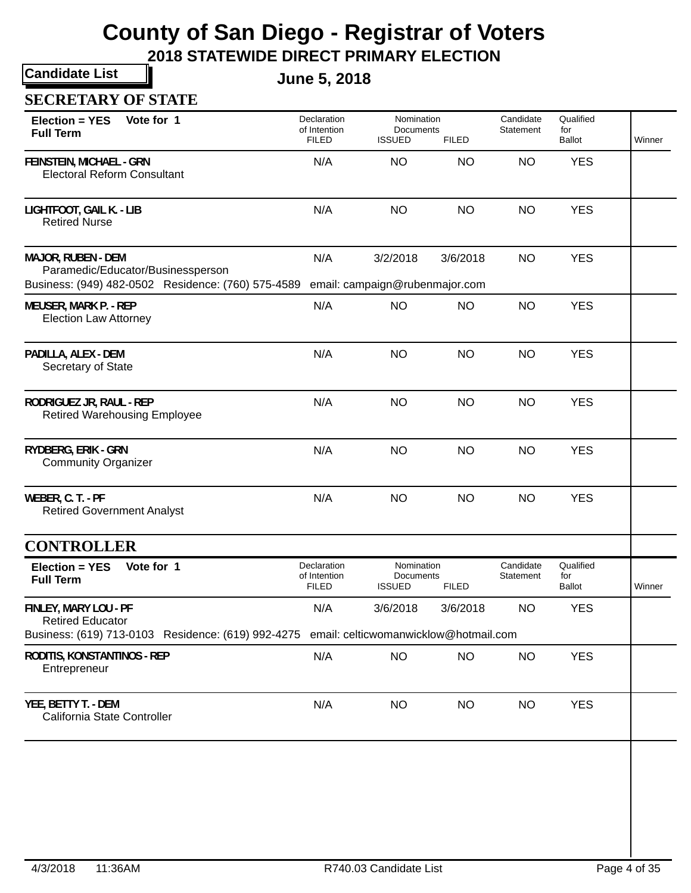**2018 STATEWIDE DIRECT PRIMARY ELECTION**

**Candidate List**

**June 5, 2018**

### **SECRETARY OF STATE**

| Vote for 1<br>Election = YES<br><b>Full Term</b>                                                                                             | Declaration<br>of Intention<br><b>FILED</b> | Nomination<br>Documents<br><b>ISSUED</b><br><b>FILED</b> |              | Candidate<br>Statement | Qualified<br>for<br><b>Ballot</b> | Winner |
|----------------------------------------------------------------------------------------------------------------------------------------------|---------------------------------------------|----------------------------------------------------------|--------------|------------------------|-----------------------------------|--------|
| <b>FEINSTEIN, MICHAEL - GRN</b><br><b>Electoral Reform Consultant</b>                                                                        | N/A                                         | <b>NO</b>                                                | <b>NO</b>    | <b>NO</b>              | <b>YES</b>                        |        |
| LIGHTFOOT, GAIL K. - LIB<br><b>Retired Nurse</b>                                                                                             | N/A                                         | <b>NO</b>                                                | <b>NO</b>    | <b>NO</b>              | <b>YES</b>                        |        |
| <b>MAJOR, RUBEN - DEM</b><br>Paramedic/Educator/Businessperson<br>Business: (949) 482-0502 Residence: (760) 575-4589                         | N/A                                         | 3/2/2018<br>email: campaign@rubenmajor.com               | 3/6/2018     | <b>NO</b>              | <b>YES</b>                        |        |
| <b>MEUSER, MARK P. - REP</b><br><b>Election Law Attorney</b>                                                                                 | N/A                                         | <b>NO</b>                                                | <b>NO</b>    | <b>NO</b>              | <b>YES</b>                        |        |
| PADILLA, ALEX - DEM<br>Secretary of State                                                                                                    | N/A                                         | <b>NO</b>                                                | <b>NO</b>    | <b>NO</b>              | <b>YES</b>                        |        |
| RODRIGUEZ JR, RAUL - REP<br><b>Retired Warehousing Employee</b>                                                                              | N/A                                         | <b>NO</b>                                                | <b>NO</b>    | <b>NO</b>              | <b>YES</b>                        |        |
| RYDBERG, ERIK - GRN<br><b>Community Organizer</b>                                                                                            | N/A                                         | <b>NO</b>                                                | <b>NO</b>    | <b>NO</b>              | <b>YES</b>                        |        |
| WEBER, C. T. - PF<br><b>Retired Government Analyst</b>                                                                                       | N/A                                         | <b>NO</b>                                                | <b>NO</b>    | <b>NO</b>              | <b>YES</b>                        |        |
| <b>CONTROLLER</b>                                                                                                                            |                                             |                                                          |              |                        |                                   |        |
| Vote for 1<br>Election = YES<br><b>Full Term</b>                                                                                             | Declaration<br>of Intention<br><b>FILED</b> | Nomination<br>Documents<br><b>ISSUED</b>                 | <b>FILED</b> | Candidate<br>Statement | Qualified<br>for<br>Ballot        | Winner |
| FINLEY, MARY LOU - PF<br><b>Retired Educator</b><br>Business: (619) 713-0103 Residence: (619) 992-4275 email: celticwomanwicklow@hotmail.com | N/A                                         | 3/6/2018                                                 | 3/6/2018     | <b>NO</b>              | <b>YES</b>                        |        |
| RODITIS, KONSTANTINOS - REP<br>Entrepreneur                                                                                                  | N/A                                         | <b>NO</b>                                                | <b>NO</b>    | <b>NO</b>              | <b>YES</b>                        |        |
| YEE, BETTY T. - DEM<br>California State Controller                                                                                           | N/A                                         | <b>NO</b>                                                | <b>NO</b>    | <b>NO</b>              | <b>YES</b>                        |        |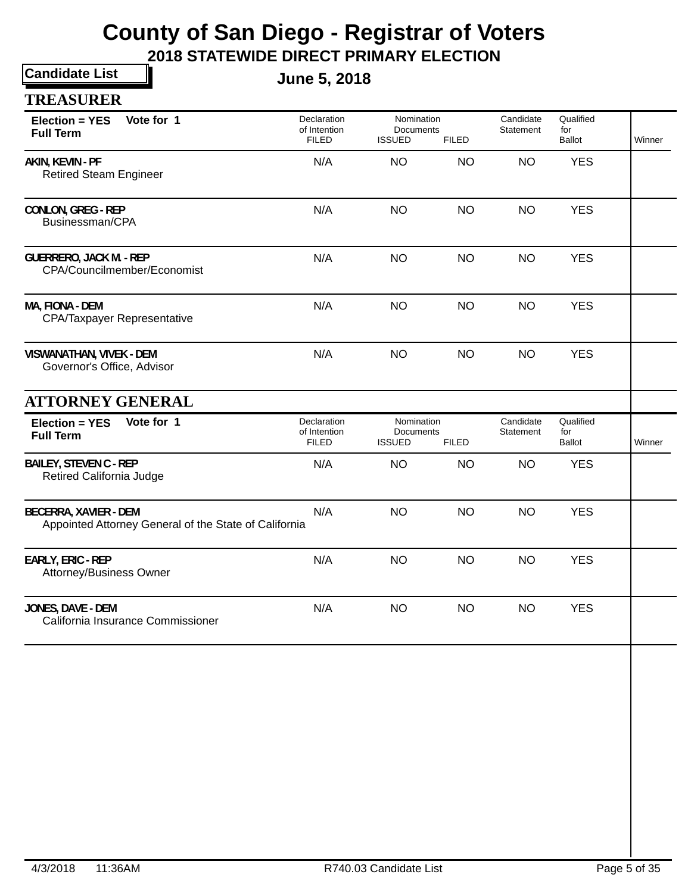| <b>Candidate List</b>                                                          | <b>June 5, 2018</b>                         |                                                 |              |                        |                                   |        |
|--------------------------------------------------------------------------------|---------------------------------------------|-------------------------------------------------|--------------|------------------------|-----------------------------------|--------|
| <b>TREASURER</b>                                                               |                                             |                                                 |              |                        |                                   |        |
| Vote for 1<br>Election = YES<br><b>Full Term</b>                               | Declaration<br>of Intention<br><b>FILED</b> | Nomination<br><b>Documents</b><br><b>ISSUED</b> | <b>FILED</b> | Candidate<br>Statement | Qualified<br>for<br><b>Ballot</b> | Winner |
| AKIN, KEVIN - PF<br><b>Retired Steam Engineer</b>                              | N/A                                         | <b>NO</b>                                       | <b>NO</b>    | <b>NO</b>              | <b>YES</b>                        |        |
| <b>CONLON, GREG - REP</b><br>Businessman/CPA                                   | N/A                                         | <b>NO</b>                                       | <b>NO</b>    | <b>NO</b>              | <b>YES</b>                        |        |
| <b>GUERRERO, JACK M. - REP</b><br>CPA/Councilmember/Economist                  | N/A                                         | <b>NO</b>                                       | <b>NO</b>    | <b>NO</b>              | <b>YES</b>                        |        |
| MA, FIONA - DEM<br><b>CPA/Taxpayer Representative</b>                          | N/A                                         | <b>NO</b>                                       | <b>NO</b>    | <b>NO</b>              | <b>YES</b>                        |        |
| VISWANATHAN, VIVEK - DEM<br>Governor's Office, Advisor                         | N/A                                         | <b>NO</b>                                       | <b>NO</b>    | <b>NO</b>              | <b>YES</b>                        |        |
| <b>ATTORNEY GENERAL</b>                                                        |                                             |                                                 |              |                        |                                   |        |
| Vote for 1<br>Election = YES<br><b>Full Term</b>                               | Declaration<br>of Intention<br><b>FILED</b> | Nomination<br><b>Documents</b><br><b>ISSUED</b> | <b>FILED</b> | Candidate<br>Statement | Qualified<br>for<br><b>Ballot</b> | Winner |
| <b>BAILEY, STEVEN C - REP</b><br>Retired California Judge                      | N/A                                         | <b>NO</b>                                       | <b>NO</b>    | <b>NO</b>              | <b>YES</b>                        |        |
| BECERRA, XAVIER - DEM<br>Appointed Attorney General of the State of California | N/A                                         | <b>NO</b>                                       | <b>NO</b>    | <b>NO</b>              | <b>YES</b>                        |        |
| EARLY, ERIC - REP<br>Attorney/Business Owner                                   | N/A                                         | <b>NO</b>                                       | <b>NO</b>    | <b>NO</b>              | <b>YES</b>                        |        |
| JONES, DAVE - DEM<br>California Insurance Commissioner                         | N/A                                         | <b>NO</b>                                       | <b>NO</b>    | <b>NO</b>              | <b>YES</b>                        |        |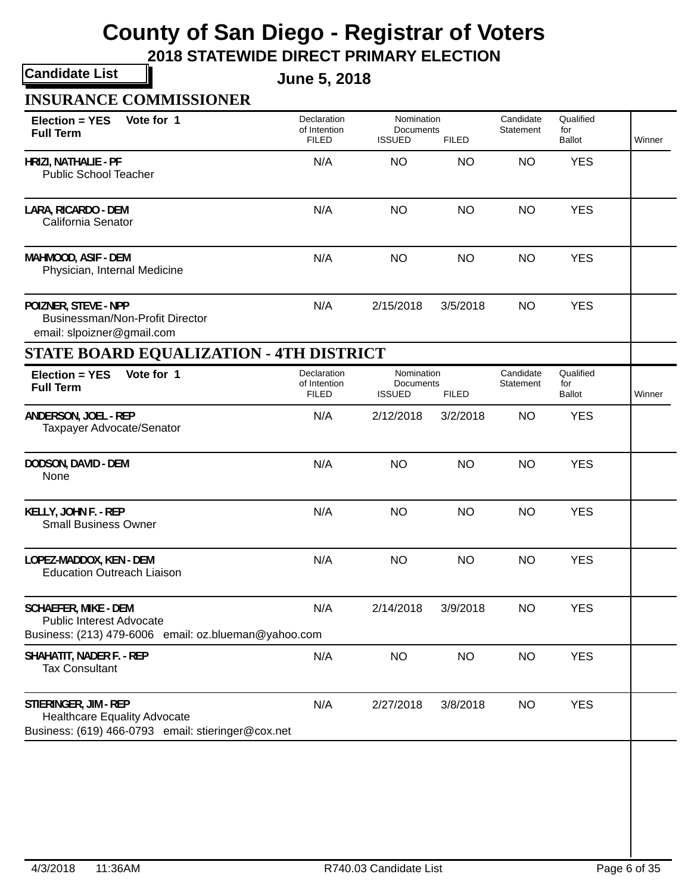**2018 STATEWIDE DIRECT PRIMARY ELECTION**

**Candidate List**

**June 5, 2018**

| Vote for 1<br>Election = YES<br><b>Full Term</b>                                                                   | Declaration<br>of Intention<br><b>FILED</b> | Nomination<br>Documents<br><b>ISSUED</b>        | <b>FILED</b> | Candidate<br>Statement | Qualified<br>for<br><b>Ballot</b> | Winner |
|--------------------------------------------------------------------------------------------------------------------|---------------------------------------------|-------------------------------------------------|--------------|------------------------|-----------------------------------|--------|
| HRIZI, NATHALIE - PF<br><b>Public School Teacher</b>                                                               | N/A                                         | <b>NO</b>                                       | <b>NO</b>    | <b>NO</b>              | <b>YES</b>                        |        |
| LARA, RICARDO - DEM<br>California Senator                                                                          | N/A                                         | <b>NO</b>                                       | <b>NO</b>    | <b>NO</b>              | <b>YES</b>                        |        |
| MAHMOOD, ASIF - DEM<br>Physician, Internal Medicine                                                                | N/A                                         | <b>NO</b>                                       | <b>NO</b>    | <b>NO</b>              | <b>YES</b>                        |        |
| POIZNER, STEVE - NPP<br>Businessman/Non-Profit Director<br>email: slpoizner@gmail.com                              | N/A                                         | 2/15/2018                                       | 3/5/2018     | <b>NO</b>              | <b>YES</b>                        |        |
| <b>STATE BOARD EQUALIZATION - 4TH DISTRICT</b>                                                                     |                                             |                                                 |              |                        |                                   |        |
| Vote for 1<br>Election = YES<br><b>Full Term</b>                                                                   | Declaration<br>of Intention<br><b>FILED</b> | Nomination<br><b>Documents</b><br><b>ISSUED</b> | <b>FILED</b> | Candidate<br>Statement | Qualified<br>for<br>Ballot        | Winner |
| ANDERSON, JOEL - REP<br>Taxpayer Advocate/Senator                                                                  | N/A                                         | 2/12/2018                                       | 3/2/2018     | <b>NO</b>              | <b>YES</b>                        |        |
| DODSON, DAVID - DEM<br>None                                                                                        | N/A                                         | <b>NO</b>                                       | <b>NO</b>    | <b>NO</b>              | <b>YES</b>                        |        |
| KELLY, JOHN F. - REP<br><b>Small Business Owner</b>                                                                | N/A                                         | <b>NO</b>                                       | <b>NO</b>    | <b>NO</b>              | <b>YES</b>                        |        |
| LOPEZ-MADDOX, KEN - DEM<br><b>Education Outreach Liaison</b>                                                       | N/A                                         | <b>NO</b>                                       | <b>NO</b>    | <b>NO</b>              | <b>YES</b>                        |        |
| <b>SCHAEFER, MIKE - DEM</b><br>Public Interest Advocate<br>Business: (213) 479-6006 email: oz.blueman@yahoo.com    | N/A                                         | 2/14/2018                                       | 3/9/2018     | <b>NO</b>              | <b>YES</b>                        |        |
| SHAHATIT, NADER F. - REP<br><b>Tax Consultant</b>                                                                  | N/A                                         | <b>NO</b>                                       | <b>NO</b>    | <b>NO</b>              | <b>YES</b>                        |        |
| STIERINGER, JIM - REP<br><b>Healthcare Equality Advocate</b><br>Business: (619) 466-0793 email: stieringer@cox.net | N/A                                         | 2/27/2018                                       | 3/8/2018     | <b>NO</b>              | <b>YES</b>                        |        |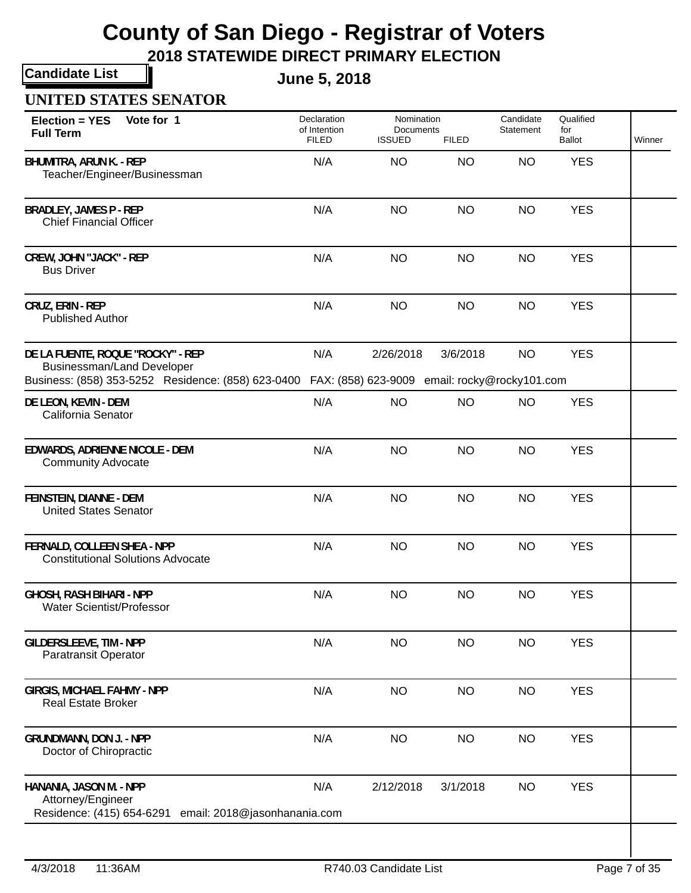**2018 STATEWIDE DIRECT PRIMARY ELECTION**

**Candidate List**

**June 5, 2018**

### **UNITED STATES SENATOR**

| Vote for 1<br><b>Election = YES</b><br><b>Full Term</b>                                                                      | Declaration<br>of Intention<br><b>FILED</b> | Nomination<br>Documents<br><b>ISSUED</b>                   | <b>FILED</b> | Candidate<br>Statement | Qualified<br>for<br>Ballot | Winner |
|------------------------------------------------------------------------------------------------------------------------------|---------------------------------------------|------------------------------------------------------------|--------------|------------------------|----------------------------|--------|
| <b>BHUMITRA, ARUN K. - REP</b><br>Teacher/Engineer/Businessman                                                               | N/A                                         | <b>NO</b>                                                  | <b>NO</b>    | <b>NO</b>              | <b>YES</b>                 |        |
| <b>BRADLEY, JAMES P - REP</b><br><b>Chief Financial Officer</b>                                                              | N/A                                         | <b>NO</b>                                                  | <b>NO</b>    | <b>NO</b>              | <b>YES</b>                 |        |
| <b>CREW, JOHN "JACK" - REP</b><br><b>Bus Driver</b>                                                                          | N/A                                         | <b>NO</b>                                                  | <b>NO</b>    | <b>NO</b>              | <b>YES</b>                 |        |
| CRUZ, ERIN - REP<br><b>Published Author</b>                                                                                  | N/A                                         | <b>NO</b>                                                  | <b>NO</b>    | <b>NO</b>              | <b>YES</b>                 |        |
| DE LA FUENTE, ROQUE "ROCKY" - REP<br><b>Businessman/Land Developer</b><br>Business: (858) 353-5252 Residence: (858) 623-0400 | N/A                                         | 2/26/2018<br>FAX: (858) 623-9009 email: rocky@rocky101.com | 3/6/2018     | <b>NO</b>              | <b>YES</b>                 |        |
| DE LEON, KEVIN - DEM<br>California Senator                                                                                   | N/A                                         | <b>NO</b>                                                  | <b>NO</b>    | <b>NO</b>              | <b>YES</b>                 |        |
| EDWARDS, ADRIENNE NICOLE - DEM<br><b>Community Advocate</b>                                                                  | N/A                                         | <b>NO</b>                                                  | <b>NO</b>    | <b>NO</b>              | <b>YES</b>                 |        |
| FEINSTEIN, DIANNE - DEM<br><b>United States Senator</b>                                                                      | N/A                                         | <b>NO</b>                                                  | <b>NO</b>    | <b>NO</b>              | <b>YES</b>                 |        |
| FERNALD, COLLEEN SHEA - NPP<br><b>Constitutional Solutions Advocate</b>                                                      | N/A                                         | <b>NO</b>                                                  | <b>NO</b>    | <b>NO</b>              | <b>YES</b>                 |        |
| <b>GHOSH, RASH BIHARI - NPP</b><br><b>Water Scientist/Professor</b>                                                          | N/A                                         | <b>NO</b>                                                  | <b>NO</b>    | <b>NO</b>              | <b>YES</b>                 |        |
| <b>GILDERSLEEVE, TIM - NPP</b><br><b>Paratransit Operator</b>                                                                | N/A                                         | <b>NO</b>                                                  | <b>NO</b>    | <b>NO</b>              | <b>YES</b>                 |        |
| <b>GIRGIS, MICHAEL FAHMY - NPP</b><br><b>Real Estate Broker</b>                                                              | N/A                                         | <b>NO</b>                                                  | <b>NO</b>    | <b>NO</b>              | <b>YES</b>                 |        |
| <b>GRUNDMANN, DON J. - NPP</b><br>Doctor of Chiropractic                                                                     | N/A                                         | <b>NO</b>                                                  | <b>NO</b>    | <b>NO</b>              | <b>YES</b>                 |        |
| HANANIA, JASON M. - NPP<br>Attorney/Engineer<br>Residence: (415) 654-6291<br>email: 2018@jasonhanania.com                    | N/A                                         | 2/12/2018                                                  | 3/1/2018     | <b>NO</b>              | <b>YES</b>                 |        |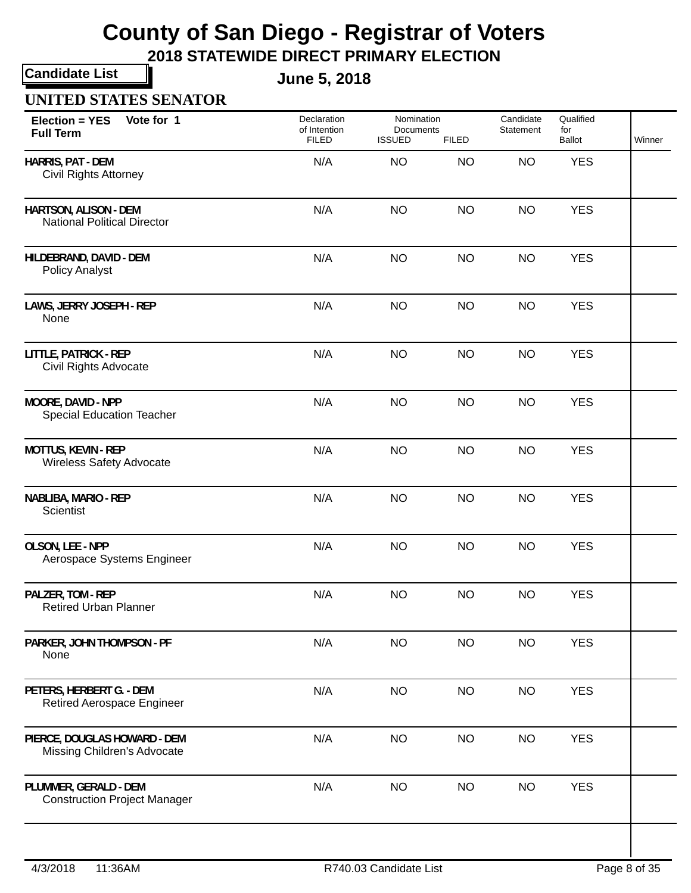**2018 STATEWIDE DIRECT PRIMARY ELECTION**

**Candidate List**

**June 5, 2018**

#### **UNITED STATES SENATOR**

| Vote for 1<br><b>Election = YES</b><br><b>Full Term</b>      | Declaration<br>of Intention<br><b>FILED</b> | <b>ISSUED</b> | Nomination<br>Documents<br><b>FILED</b> |           | Qualified<br>for<br>Ballot | Winner |  |
|--------------------------------------------------------------|---------------------------------------------|---------------|-----------------------------------------|-----------|----------------------------|--------|--|
| HARRIS, PAT - DEM<br><b>Civil Rights Attorney</b>            | N/A                                         | <b>NO</b>     | <b>NO</b>                               | <b>NO</b> | <b>YES</b>                 |        |  |
| HARTSON, ALISON - DEM<br><b>National Political Director</b>  | N/A                                         | <b>NO</b>     | <b>NO</b>                               | <b>NO</b> | <b>YES</b>                 |        |  |
| HILDEBRAND, DAVID - DEM<br><b>Policy Analyst</b>             | N/A                                         | <b>NO</b>     | <b>NO</b>                               | <b>NO</b> | <b>YES</b>                 |        |  |
| LAWS, JERRY JOSEPH - REP<br>None                             | N/A                                         | <b>NO</b>     | <b>NO</b>                               | <b>NO</b> | <b>YES</b>                 |        |  |
| <b>LITTLE, PATRICK - REP</b><br>Civil Rights Advocate        | N/A                                         | <b>NO</b>     | <b>NO</b>                               | <b>NO</b> | <b>YES</b>                 |        |  |
| MOORE, DAVID - NPP<br><b>Special Education Teacher</b>       | N/A                                         | <b>NO</b>     | <b>NO</b>                               | <b>NO</b> | <b>YES</b>                 |        |  |
| <b>MOTTUS, KEVIN - REP</b><br>Wireless Safety Advocate       | N/A                                         | <b>NO</b>     | <b>NO</b>                               | <b>NO</b> | <b>YES</b>                 |        |  |
| NABLIBA, MARIO - REP<br>Scientist                            | N/A                                         | <b>NO</b>     | <b>NO</b>                               | <b>NO</b> | <b>YES</b>                 |        |  |
| OLSON, LEE - NPP<br>Aerospace Systems Engineer               | N/A                                         | <b>NO</b>     | <b>NO</b>                               | <b>NO</b> | <b>YES</b>                 |        |  |
| PALZER, TOM - REP<br><b>Retired Urban Planner</b>            | N/A                                         | <b>NO</b>     | <b>NO</b>                               | <b>NO</b> | <b>YES</b>                 |        |  |
| PARKER, JOHN THOMPSON - PF<br>None                           | N/A                                         | <b>NO</b>     | <b>NO</b>                               | <b>NO</b> | <b>YES</b>                 |        |  |
| PETERS, HERBERT G. - DEM<br>Retired Aerospace Engineer       | N/A                                         | <b>NO</b>     | <b>NO</b>                               | <b>NO</b> | <b>YES</b>                 |        |  |
| PIERCE, DOUGLAS HOWARD - DEM<br>Missing Children's Advocate  | N/A                                         | <b>NO</b>     | <b>NO</b>                               | <b>NO</b> | <b>YES</b>                 |        |  |
| PLUMMER, GERALD - DEM<br><b>Construction Project Manager</b> | N/A                                         | <b>NO</b>     | <b>NO</b>                               | <b>NO</b> | <b>YES</b>                 |        |  |
|                                                              |                                             |               |                                         |           |                            |        |  |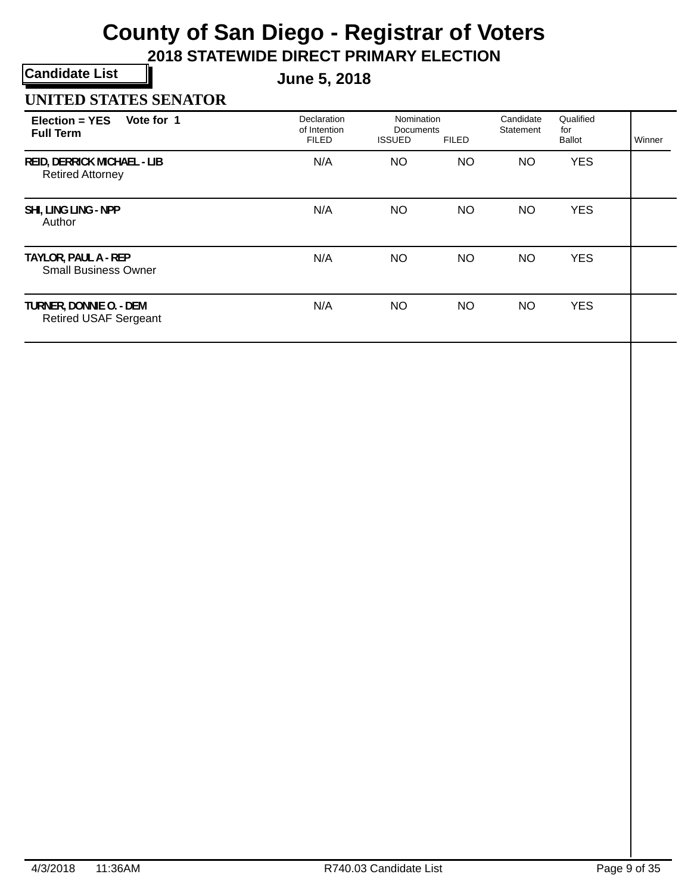**2018 STATEWIDE DIRECT PRIMARY ELECTION**

**Candidate List**

**June 5, 2018**

#### **UNITED STATES SENATOR**

| Vote for 1<br>$Election = YES$<br><b>Full Term</b>            | Declaration<br>of Intention<br><b>FILED</b> | Nomination<br>Documents<br><b>ISSUED</b> | <b>FILED</b> | Candidate<br>Statement | Qualified<br>for<br><b>Ballot</b> | Winner |
|---------------------------------------------------------------|---------------------------------------------|------------------------------------------|--------------|------------------------|-----------------------------------|--------|
| <b>REID, DERRICK MICHAEL - LIB</b><br><b>Retired Attorney</b> | N/A                                         | NO.                                      | <b>NO</b>    | NO                     | <b>YES</b>                        |        |
| SHI, LING LING - NPP<br>Author                                | N/A                                         | NO.                                      | <b>NO</b>    | NO                     | <b>YES</b>                        |        |
| TAYLOR, PAUL A - REP<br><b>Small Business Owner</b>           | N/A                                         | NO.                                      | <b>NO</b>    | NO                     | <b>YES</b>                        |        |
| TURNER, DONNIE O. - DEM<br><b>Retired USAF Sergeant</b>       | N/A                                         | NO.                                      | <b>NO</b>    | <b>NO</b>              | <b>YES</b>                        |        |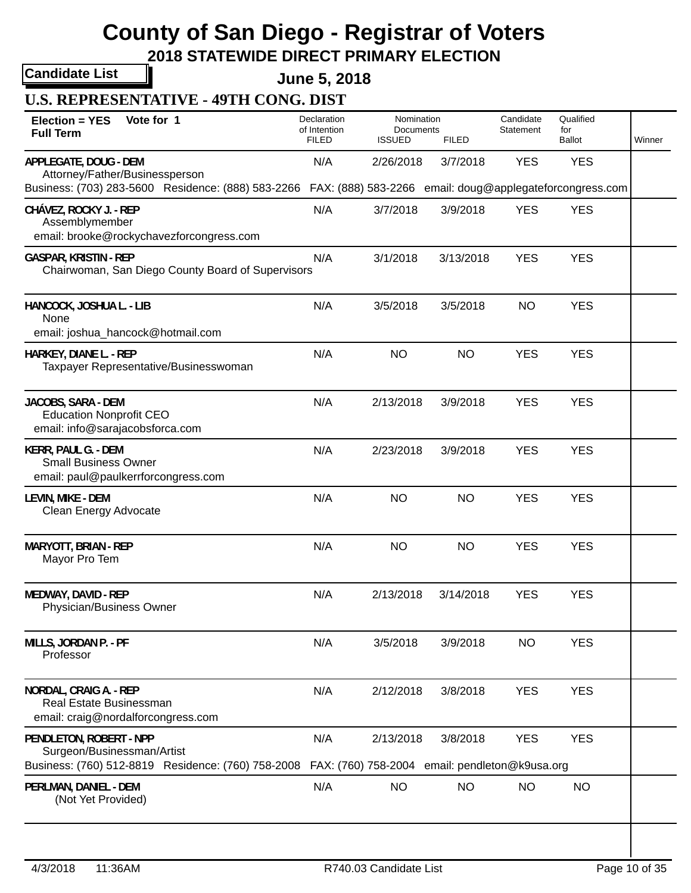**2018 STATEWIDE DIRECT PRIMARY ELECTION**

**Candidate List**

**June 5, 2018**

**U.S. REPRESENTATIVE - 49TH CONG. DIST**

| Vote for 1<br>Election = YES<br><b>Full Term</b>                                                            | Declaration<br>of Intention<br><b>FILED</b> | Nomination<br><b>Documents</b><br><b>ISSUED</b>             | <b>FILED</b> | Candidate<br>Statement | Qualified<br>for<br><b>Ballot</b> | Winner |
|-------------------------------------------------------------------------------------------------------------|---------------------------------------------|-------------------------------------------------------------|--------------|------------------------|-----------------------------------|--------|
| APPLEGATE, DOUG - DEM<br>Attorney/Father/Businessperson                                                     | N/A                                         | 2/26/2018                                                   | 3/7/2018     | <b>YES</b>             | <b>YES</b>                        |        |
| Business: (703) 283-5600 Residence: (888) 583-2266 FAX: (888) 583-2266 email: doug@applegateforcongress.com |                                             |                                                             |              |                        |                                   |        |
| CHÁVEZ, ROCKY J. - REP<br>Assemblymember<br>email: brooke@rockychavezforcongress.com                        | N/A                                         | 3/7/2018                                                    | 3/9/2018     | <b>YES</b>             | <b>YES</b>                        |        |
| <b>GASPAR, KRISTIN - REP</b><br>Chairwoman, San Diego County Board of Supervisors                           | N/A                                         | 3/1/2018                                                    | 3/13/2018    | <b>YES</b>             | <b>YES</b>                        |        |
| HANCOCK, JOSHUA L. - LIB<br>None                                                                            | N/A                                         | 3/5/2018                                                    | 3/5/2018     | <b>NO</b>              | <b>YES</b>                        |        |
| email: joshua_hancock@hotmail.com                                                                           |                                             |                                                             |              |                        |                                   |        |
| HARKEY, DIANE L. - REP<br>Taxpayer Representative/Businesswoman                                             | N/A                                         | <b>NO</b>                                                   | <b>NO</b>    | <b>YES</b>             | <b>YES</b>                        |        |
| JACOBS, SARA - DEM<br><b>Education Nonprofit CEO</b><br>email: info@sarajacobsforca.com                     | N/A                                         | 2/13/2018                                                   | 3/9/2018     | <b>YES</b>             | <b>YES</b>                        |        |
| KERR, PAUL G. - DEM<br><b>Small Business Owner</b><br>email: paul@paulkerrforcongress.com                   | N/A                                         | 2/23/2018                                                   | 3/9/2018     | <b>YES</b>             | <b>YES</b>                        |        |
| LEVIN, MIKE - DEM<br>Clean Energy Advocate                                                                  | N/A                                         | <b>NO</b>                                                   | <b>NO</b>    | <b>YES</b>             | <b>YES</b>                        |        |
| <b>MARYOTT, BRIAN - REP</b><br>Mayor Pro Tem                                                                | N/A                                         | <b>NO</b>                                                   | <b>NO</b>    | <b>YES</b>             | <b>YES</b>                        |        |
| MEDWAY, DAVID - REP<br>Physician/Business Owner                                                             | N/A                                         | 2/13/2018                                                   | 3/14/2018    | <b>YES</b>             | <b>YES</b>                        |        |
| MILLS, JORDAN P. - PF<br>Professor                                                                          | N/A                                         | 3/5/2018                                                    | 3/9/2018     | <b>NO</b>              | <b>YES</b>                        |        |
| NORDAL, CRAIG A. - REP<br><b>Real Estate Businessman</b><br>email: craig@nordalforcongress.com              | N/A                                         | 2/12/2018                                                   | 3/8/2018     | <b>YES</b>             | <b>YES</b>                        |        |
| PENDLETON, ROBERT - NPP<br>Surgeon/Businessman/Artist<br>Business: (760) 512-8819 Residence: (760) 758-2008 | N/A                                         | 2/13/2018<br>FAX: (760) 758-2004 email: pendleton@k9usa.org | 3/8/2018     | <b>YES</b>             | <b>YES</b>                        |        |
| PERLMAN, DANIEL - DEM<br>(Not Yet Provided)                                                                 | N/A                                         | <b>NO</b>                                                   | <b>NO</b>    | <b>NO</b>              | <b>NO</b>                         |        |
|                                                                                                             |                                             |                                                             |              |                        |                                   |        |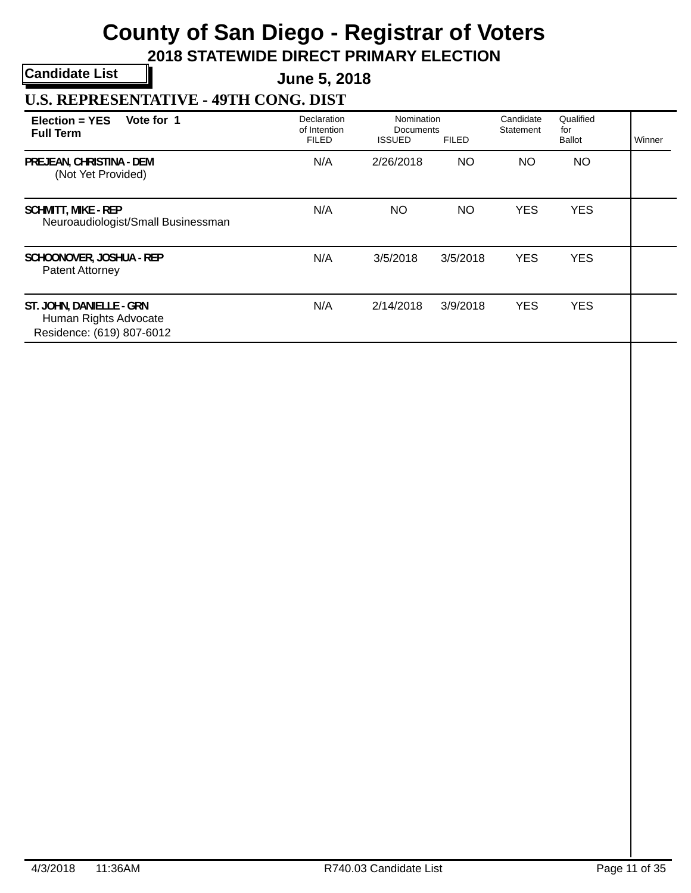**2018 STATEWIDE DIRECT PRIMARY ELECTION**

**Candidate List**

**June 5, 2018**

**U.S. REPRESENTATIVE - 49TH CONG. DIST**

| Vote for 1<br>Election = YES<br><b>Full Term</b>                               | Declaration<br>of Intention<br><b>FILED</b> | Nomination<br>Documents<br><b>ISSUED</b> | <b>FILED</b> | Candidate<br>Statement | Qualified<br>for<br>Ballot | Winner |
|--------------------------------------------------------------------------------|---------------------------------------------|------------------------------------------|--------------|------------------------|----------------------------|--------|
| PREJEAN, CHRISTINA - DEM<br>(Not Yet Provided)                                 | N/A                                         | 2/26/2018                                | <b>NO</b>    | NO.                    | <b>NO</b>                  |        |
| <b>SCHMITT, MIKE - REP</b><br>Neuroaudiologist/Small Businessman               | N/A                                         | ΝO                                       | <b>NO</b>    | <b>YES</b>             | <b>YES</b>                 |        |
| SCHOONOVER, JOSHUA - REP<br>Patent Attorney                                    | N/A                                         | 3/5/2018                                 | 3/5/2018     | <b>YES</b>             | <b>YES</b>                 |        |
| ST. JOHN, DANIELLE - GRN<br>Human Rights Advocate<br>Residence: (619) 807-6012 | N/A                                         | 2/14/2018                                | 3/9/2018     | <b>YES</b>             | <b>YES</b>                 |        |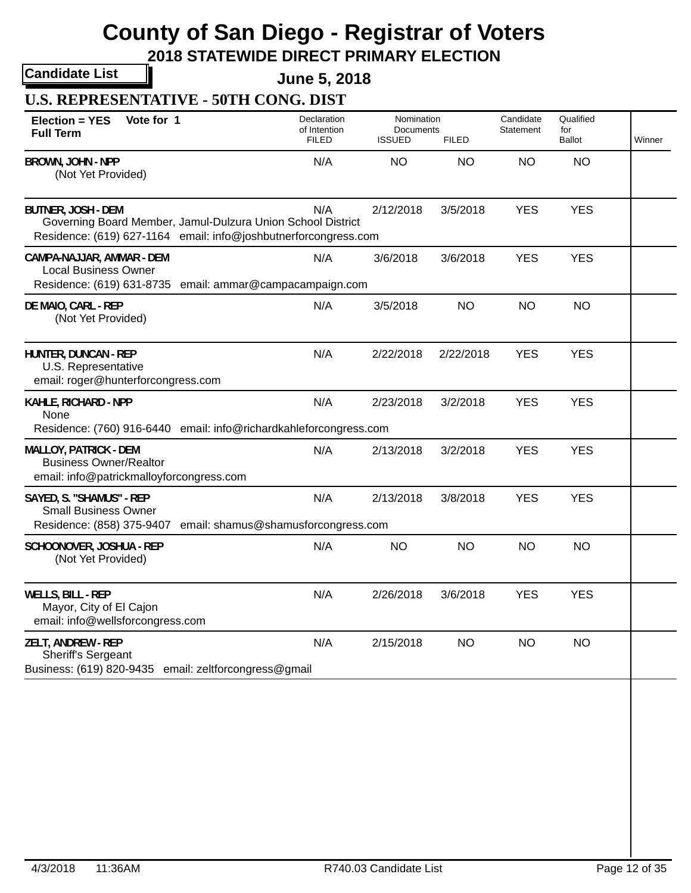**2018 STATEWIDE DIRECT PRIMARY ELECTION**

**Candidate List**

**June 5, 2018**

**U.S. REPRESENTATIVE - 50TH CONG. DIST**

| Vote for 1<br><b>Election = YES</b><br><b>Full Term</b>                                                                                                     | Declaration<br>of Intention<br><b>FILED</b> | Nomination<br>Documents<br><b>ISSUED</b> | <b>FILED</b> | Candidate<br>Statement | Qualified<br>for<br><b>Ballot</b> | Winner |
|-------------------------------------------------------------------------------------------------------------------------------------------------------------|---------------------------------------------|------------------------------------------|--------------|------------------------|-----------------------------------|--------|
| BROWN, JOHN - NPP<br>(Not Yet Provided)                                                                                                                     | N/A                                         | <b>NO</b>                                | <b>NO</b>    | <b>NO</b>              | <b>NO</b>                         |        |
| <b>BUTNER, JOSH - DEM</b><br>Governing Board Member, Jamul-Dulzura Union School District<br>Residence: (619) 627-1164 email: info@joshbutnerforcongress.com | N/A                                         | 2/12/2018                                | 3/5/2018     | <b>YES</b>             | <b>YES</b>                        |        |
| CAMPA-NAJJAR, AMMAR - DEM<br><b>Local Business Owner</b><br>Residence: (619) 631-8735 email: ammar@campacampaign.com                                        | N/A                                         | 3/6/2018                                 | 3/6/2018     | <b>YES</b>             | <b>YES</b>                        |        |
| DE MAIO, CARL - REP<br>(Not Yet Provided)                                                                                                                   | N/A                                         | 3/5/2018                                 | <b>NO</b>    | <b>NO</b>              | <b>NO</b>                         |        |
| HUNTER, DUNCAN - REP<br>U.S. Representative<br>email: roger@hunterforcongress.com                                                                           | N/A                                         | 2/22/2018                                | 2/22/2018    | <b>YES</b>             | <b>YES</b>                        |        |
| KAHLE, RICHARD - NPP<br>None<br>Residence: (760) 916-6440 email: info@richardkahleforcongress.com                                                           | N/A                                         | 2/23/2018                                | 3/2/2018     | <b>YES</b>             | <b>YES</b>                        |        |
| <b>MALLOY, PATRICK - DEM</b><br><b>Business Owner/Realtor</b><br>email: info@patrickmalloyforcongress.com                                                   | N/A                                         | 2/13/2018                                | 3/2/2018     | <b>YES</b>             | <b>YES</b>                        |        |
| SAYED, S. "SHAMUS" - REP<br><b>Small Business Owner</b><br>Residence: (858) 375-9407 email: shamus@shamusforcongress.com                                    | N/A                                         | 2/13/2018                                | 3/8/2018     | <b>YES</b>             | <b>YES</b>                        |        |
| SCHOONOVER, JOSHUA - REP<br>(Not Yet Provided)                                                                                                              | N/A                                         | <b>NO</b>                                | <b>NO</b>    | <b>NO</b>              | <b>NO</b>                         |        |
| <b>WELLS, BILL - REP</b><br>Mayor, City of El Cajon<br>email: info@wellsforcongress.com                                                                     | N/A                                         | 2/26/2018                                | 3/6/2018     | <b>YES</b>             | <b>YES</b>                        |        |
| ZELT, ANDREW - REP<br>Sheriff's Sergeant<br>Business: (619) 820-9435 email: zeltforcongress@gmail                                                           | N/A                                         | 2/15/2018                                | <b>NO</b>    | <b>NO</b>              | <b>NO</b>                         |        |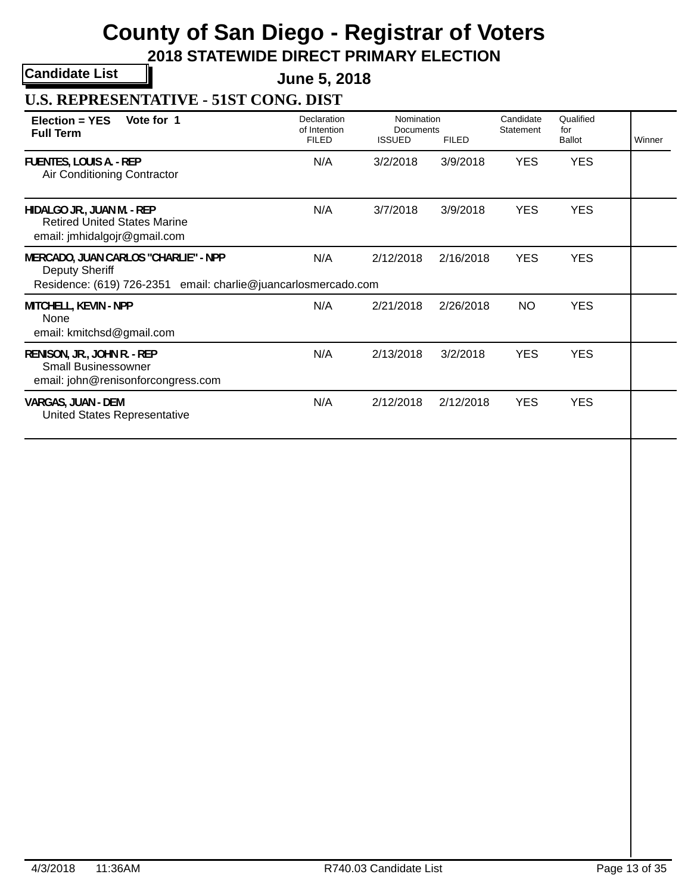**2018 STATEWIDE DIRECT PRIMARY ELECTION**

**Candidate List**

**June 5, 2018**

**U.S. REPRESENTATIVE - 51ST CONG. DIST**

| Vote for 1<br>$Election = YES$<br><b>Full Term</b>                                                                       | Declaration<br>of Intention<br><b>FILED</b> | Nomination<br>Documents<br><b>ISSUED</b> | <b>FILED</b> | Candidate<br>Statement | Qualified<br>for<br><b>Ballot</b> | Winner |
|--------------------------------------------------------------------------------------------------------------------------|---------------------------------------------|------------------------------------------|--------------|------------------------|-----------------------------------|--------|
| <b>FUENTES, LOUIS A. - REP</b><br>Air Conditioning Contractor                                                            | N/A                                         | 3/2/2018                                 | 3/9/2018     | <b>YES</b>             | <b>YES</b>                        |        |
| HIDALGO JR., JUAN M. - REP<br><b>Retired United States Marine</b><br>email: jmhidalgojr@gmail.com                        | N/A                                         | 3/7/2018                                 | 3/9/2018     | <b>YES</b>             | <b>YES</b>                        |        |
| MERCADO, JUAN CARLOS "CHARLIE" - NPP<br>Deputy Sheriff<br>Residence: (619) 726-2351 email: charlie@juancarlosmercado.com | N/A                                         | 2/12/2018                                | 2/16/2018    | <b>YES</b>             | <b>YES</b>                        |        |
| MITCHELL, KEVIN - NPP<br>None<br>email: kmitchsd@gmail.com                                                               | N/A                                         | 2/21/2018                                | 2/26/2018    | <b>NO</b>              | <b>YES</b>                        |        |
| RENISON, JR., JOHN R. - REP<br><b>Small Businessowner</b><br>email: john@renisonforcongress.com                          | N/A                                         | 2/13/2018                                | 3/2/2018     | <b>YES</b>             | <b>YES</b>                        |        |
| <b>VARGAS, JUAN - DEM</b><br>United States Representative                                                                | N/A                                         | 2/12/2018                                | 2/12/2018    | <b>YES</b>             | <b>YES</b>                        |        |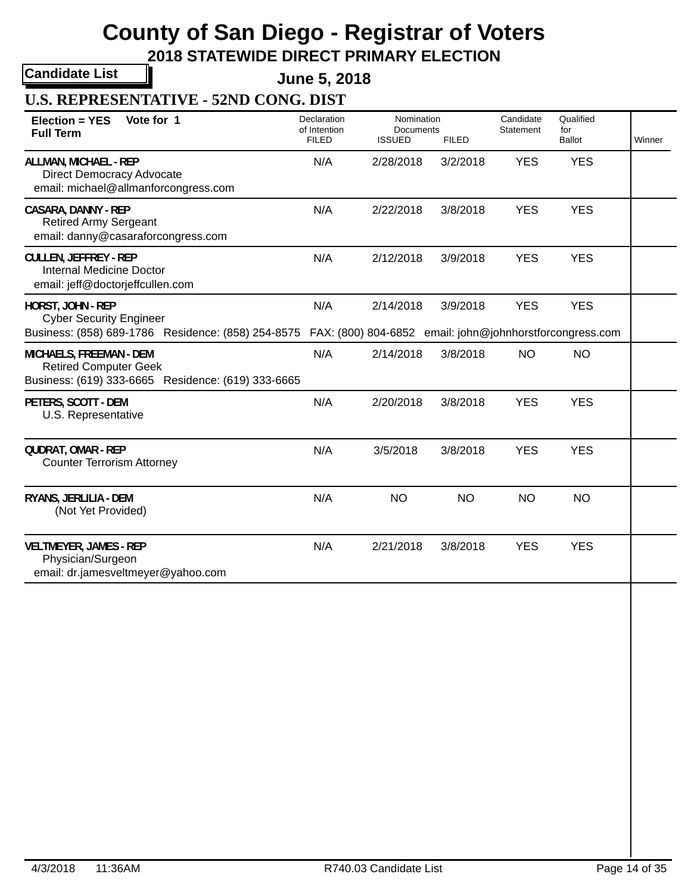**2018 STATEWIDE DIRECT PRIMARY ELECTION**

**Candidate List**

**June 5, 2018**

**U.S. REPRESENTATIVE - 52ND CONG. DIST**

| Vote for 1<br><b>Election = YES</b><br><b>Full Term</b>                                                                                                            | Declaration<br>of Intention<br><b>FILED</b> | Nomination<br>Documents<br><b>ISSUED</b> | <b>FILED</b> | Candidate<br>Statement | Qualified<br>for<br><b>Ballot</b> | Winner |
|--------------------------------------------------------------------------------------------------------------------------------------------------------------------|---------------------------------------------|------------------------------------------|--------------|------------------------|-----------------------------------|--------|
| ALLMAN, MICHAEL - REP<br><b>Direct Democracy Advocate</b><br>email: michael@allmanforcongress.com                                                                  | N/A                                         | 2/28/2018                                | 3/2/2018     | <b>YES</b>             | <b>YES</b>                        |        |
| <b>CASARA, DANNY - REP</b><br><b>Retired Army Sergeant</b><br>email: danny@casaraforcongress.com                                                                   | N/A                                         | 2/22/2018                                | 3/8/2018     | <b>YES</b>             | <b>YES</b>                        |        |
| <b>CULLEN, JEFFREY - REP</b><br><b>Internal Medicine Doctor</b><br>email: jeff@doctorjeffcullen.com                                                                | N/A                                         | 2/12/2018                                | 3/9/2018     | <b>YES</b>             | <b>YES</b>                        |        |
| HORST, JOHN - REP<br><b>Cyber Security Engineer</b><br>Business: (858) 689-1786 Residence: (858) 254-8575 FAX: (800) 804-6852 email: john@johnhorstforcongress.com | N/A                                         | 2/14/2018                                | 3/9/2018     | <b>YES</b>             | <b>YES</b>                        |        |
| MICHAELS, FREEMAN - DEM<br><b>Retired Computer Geek</b><br>Business: (619) 333-6665 Residence: (619) 333-6665                                                      | N/A                                         | 2/14/2018                                | 3/8/2018     | <b>NO</b>              | <b>NO</b>                         |        |
| PETERS, SCOTT - DEM<br>U.S. Representative                                                                                                                         | N/A                                         | 2/20/2018                                | 3/8/2018     | <b>YES</b>             | <b>YES</b>                        |        |
| <b>QUDRAT, OMAR - REP</b><br><b>Counter Terrorism Attorney</b>                                                                                                     | N/A                                         | 3/5/2018                                 | 3/8/2018     | <b>YES</b>             | <b>YES</b>                        |        |
| RYANS, JERLILIA - DEM<br>(Not Yet Provided)                                                                                                                        | N/A                                         | <b>NO</b>                                | <b>NO</b>    | <b>NO</b>              | <b>NO</b>                         |        |
| <b>VELTMEYER, JAMES - REP</b><br>Physician/Surgeon<br>email: dr.jamesveltmeyer@yahoo.com                                                                           | N/A                                         | 2/21/2018                                | 3/8/2018     | <b>YES</b>             | <b>YES</b>                        |        |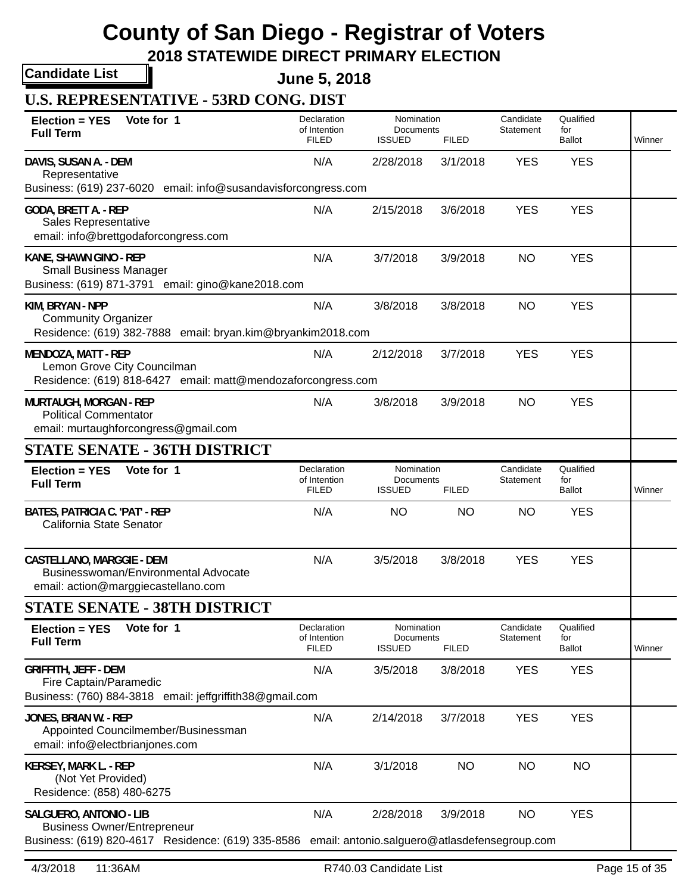**2018 STATEWIDE DIRECT PRIMARY ELECTION**

**Candidate List**

**June 5, 2018**

**U.S. REPRESENTATIVE - 53RD CONG. DIST**

| Vote for 1<br>Election = YES<br><b>Full Term</b>                                                                                                                  | Declaration<br>of Intention<br><b>FILED</b> | Nomination<br>Documents<br><b>ISSUED</b> | <b>FILED</b> | Candidate<br>Statement | Qualified<br>for<br><b>Ballot</b> | Winner |
|-------------------------------------------------------------------------------------------------------------------------------------------------------------------|---------------------------------------------|------------------------------------------|--------------|------------------------|-----------------------------------|--------|
| DAVIS, SUSAN A. - DEM<br>Representative<br>Business: (619) 237-6020 email: info@susandavisforcongress.com                                                         | N/A                                         | 2/28/2018                                | 3/1/2018     | <b>YES</b>             | <b>YES</b>                        |        |
| GODA, BRETT A. - REP<br>Sales Representative<br>email: info@brettgodaforcongress.com                                                                              | N/A                                         | 2/15/2018                                | 3/6/2018     | <b>YES</b>             | <b>YES</b>                        |        |
| KANE, SHAWN GINO - REP<br><b>Small Business Manager</b><br>Business: (619) 871-3791 email: gino@kane2018.com                                                      | N/A                                         | 3/7/2018                                 | 3/9/2018     | <b>NO</b>              | <b>YES</b>                        |        |
| KIM, BRYAN - NPP<br><b>Community Organizer</b><br>Residence: (619) 382-7888 email: bryan.kim@bryankim2018.com                                                     | N/A                                         | 3/8/2018                                 | 3/8/2018     | <b>NO</b>              | <b>YES</b>                        |        |
| <b>MENDOZA, MATT - REP</b><br>Lemon Grove City Councilman<br>Residence: (619) 818-6427 email: matt@mendozaforcongress.com                                         | N/A                                         | 2/12/2018                                | 3/7/2018     | <b>YES</b>             | <b>YES</b>                        |        |
| <b>MURTAUGH, MORGAN - REP</b><br><b>Political Commentator</b><br>email: murtaughforcongress@gmail.com                                                             | N/A                                         | 3/8/2018                                 | 3/9/2018     | <b>NO</b>              | <b>YES</b>                        |        |
| STATE SENATE - 36TH DISTRICT                                                                                                                                      |                                             |                                          |              |                        |                                   |        |
| Vote for 1<br>Election = YES<br><b>Full Term</b>                                                                                                                  | Declaration<br>of Intention<br><b>FILED</b> | Nomination<br>Documents<br><b>ISSUED</b> | <b>FILED</b> | Candidate<br>Statement | Qualified<br>for<br>Ballot        | Winner |
| BATES, PATRICIA C. 'PAT' - REP<br>California State Senator                                                                                                        | N/A                                         | <b>NO</b>                                | <b>NO</b>    | <b>NO</b>              | <b>YES</b>                        |        |
| CASTELLANO, MARGGIE - DEM<br>Businesswoman/Environmental Advocate<br>email: action@marggiecastellano.com                                                          | N/A                                         | 3/5/2018                                 | 3/8/2018     | <b>YES</b>             | <b>YES</b>                        |        |
| <b>STATE SENATE - 38TH DISTRICT</b>                                                                                                                               |                                             |                                          |              |                        |                                   |        |
| Vote for 1<br>Election = YES<br><b>Full Term</b>                                                                                                                  | Declaration<br>of Intention<br><b>FILED</b> | Nomination<br>Documents<br><b>ISSUED</b> | <b>FILED</b> | Candidate<br>Statement | Qualified<br>for<br>Ballot        | Winner |
| <b>GRIFFITH, JEFF - DEM</b><br>Fire Captain/Paramedic<br>Business: (760) 884-3818 email: jeffgriffith38@gmail.com                                                 | N/A                                         | 3/5/2018                                 | 3/8/2018     | <b>YES</b>             | <b>YES</b>                        |        |
| JONES, BRIAN W. - REP<br>Appointed Councilmember/Businessman<br>email: info@electbrianjones.com                                                                   | N/A                                         | 2/14/2018                                | 3/7/2018     | <b>YES</b>             | <b>YES</b>                        |        |
| <b>KERSEY, MARK L. - REP</b><br>(Not Yet Provided)<br>Residence: (858) 480-6275                                                                                   | N/A                                         | 3/1/2018                                 | <b>NO</b>    | <b>NO</b>              | <b>NO</b>                         |        |
| SALGUERO, ANTONIO - LIB<br><b>Business Owner/Entrepreneur</b><br>Business: (619) 820-4617 Residence: (619) 335-8586 email: antonio.salguero@atlasdefensegroup.com | N/A                                         | 2/28/2018                                | 3/9/2018     | <b>NO</b>              | <b>YES</b>                        |        |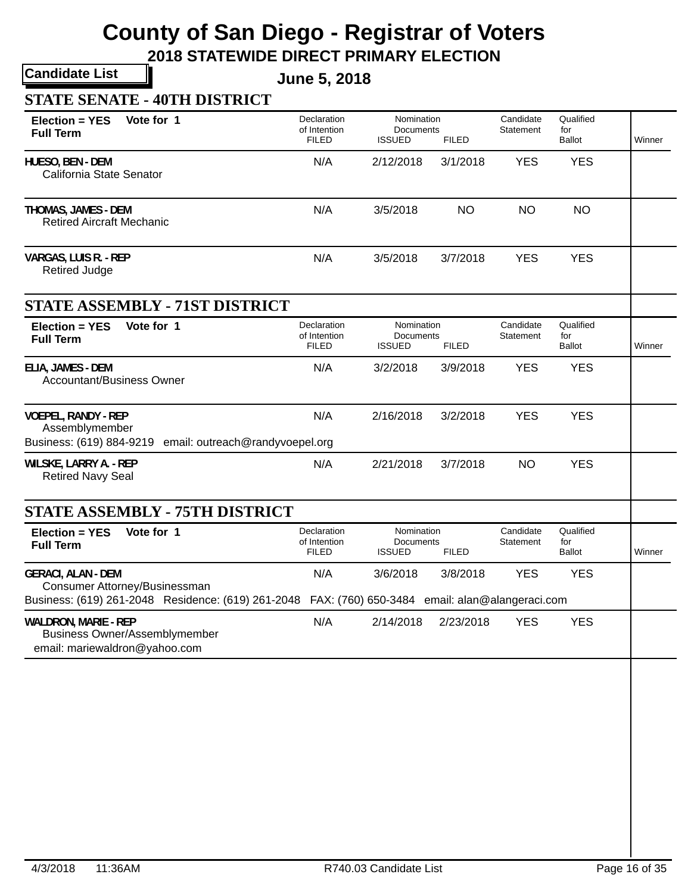### **2018 STATEWIDE DIRECT PRIMARY ELECTION**

**Candidate List**

**June 5, 2018**

### **STATE SENATE - 40TH DISTRICT**

| Vote for 1<br>Election = YES<br><b>Full Term</b>                                                                 | Declaration<br>of Intention<br><b>FILED</b> | Nomination<br><b>Documents</b><br><b>ISSUED</b>            | <b>FILED</b> | Candidate<br>Statement        | Qualified<br>for<br><b>Ballot</b> | Winner |
|------------------------------------------------------------------------------------------------------------------|---------------------------------------------|------------------------------------------------------------|--------------|-------------------------------|-----------------------------------|--------|
| HUESO, BEN - DEM<br>California State Senator                                                                     | N/A                                         | 2/12/2018                                                  | 3/1/2018     | <b>YES</b>                    | <b>YES</b>                        |        |
| THOMAS, JAMES - DEM<br><b>Retired Aircraft Mechanic</b>                                                          | N/A                                         | 3/5/2018                                                   | <b>NO</b>    | <b>NO</b>                     | <b>NO</b>                         |        |
| VARGAS, LUIS R. - REP<br><b>Retired Judge</b>                                                                    | N/A                                         | 3/5/2018                                                   | 3/7/2018     | <b>YES</b>                    | <b>YES</b>                        |        |
| <b>STATE ASSEMBLY - 71ST DISTRICT</b>                                                                            |                                             |                                                            |              |                               |                                   |        |
| Vote for 1<br><b>Election = YES</b><br><b>Full Term</b>                                                          | Declaration<br>of Intention<br><b>FILED</b> | Nomination<br>Documents<br><b>ISSUED</b>                   | <b>FILED</b> | Candidate<br>Statement        | Qualified<br>for<br><b>Ballot</b> | Winner |
| ELIA, JAMES - DEM<br><b>Accountant/Business Owner</b>                                                            | N/A                                         | 3/2/2018                                                   | 3/9/2018     | <b>YES</b>                    | <b>YES</b>                        |        |
| <b>VOEPEL, RANDY - REP</b><br>Assemblymember<br>Business: (619) 884-9219 email: outreach@randyvoepel.org         | N/A                                         | 2/16/2018                                                  | 3/2/2018     | <b>YES</b>                    | <b>YES</b>                        |        |
| WILSKE, LARRY A. - REP<br><b>Retired Navy Seal</b>                                                               | N/A                                         | 2/21/2018                                                  | 3/7/2018     | <b>NO</b>                     | <b>YES</b>                        |        |
| <b>STATE ASSEMBLY - 75TH DISTRICT</b>                                                                            |                                             |                                                            |              |                               |                                   |        |
| Vote for 1<br><b>Election = YES</b><br><b>Full Term</b>                                                          | Declaration<br>of Intention<br><b>FILED</b> | Nomination<br>Documents<br><b>ISSUED</b>                   | <b>FILED</b> | Candidate<br><b>Statement</b> | Qualified<br>for<br><b>Ballot</b> | Winner |
| <b>GERACI, ALAN - DEM</b><br>Consumer Attorney/Businessman<br>Business: (619) 261-2048 Residence: (619) 261-2048 | N/A                                         | 3/6/2018<br>FAX: (760) 650-3484 email: alan@alangeraci.com | 3/8/2018     | <b>YES</b>                    | <b>YES</b>                        |        |
| <b>WALDRON, MARIE - REP</b><br><b>Business Owner/Assemblymember</b><br>email: mariewaldron@yahoo.com             | N/A                                         | 2/14/2018                                                  | 2/23/2018    | <b>YES</b>                    | <b>YES</b>                        |        |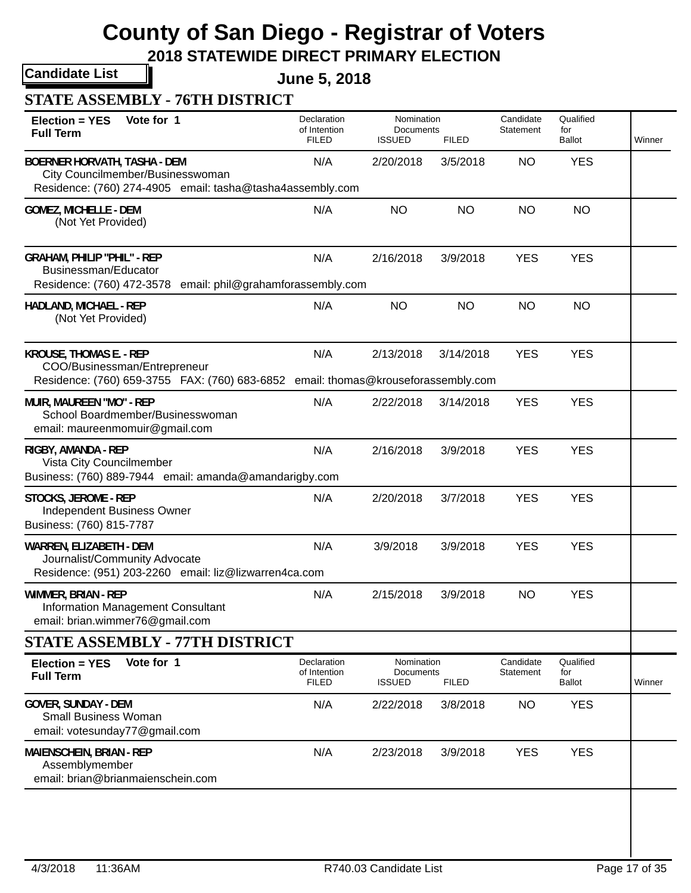### **2018 STATEWIDE DIRECT PRIMARY ELECTION**

**Candidate List**

**June 5, 2018**

### **STATE ASSEMBLY - 76TH DISTRICT**

| Vote for 1<br><b>Election = YES</b><br><b>Full Term</b>                                                                                             | Declaration<br>of Intention<br><b>FILED</b> | Nomination<br>Documents<br><b>ISSUED</b> | <b>FILED</b> | Candidate<br>Statement | Qualified<br>for<br><b>Ballot</b> | Winner |
|-----------------------------------------------------------------------------------------------------------------------------------------------------|---------------------------------------------|------------------------------------------|--------------|------------------------|-----------------------------------|--------|
| <b>BOERNER HORVATH, TASHA - DEM</b><br>City Councilmember/Businesswoman<br>Residence: (760) 274-4905 email: tasha@tasha4assembly.com                | N/A                                         | 2/20/2018                                | 3/5/2018     | <b>NO</b>              | <b>YES</b>                        |        |
| <b>GOMEZ, MICHELLE - DEM</b><br>(Not Yet Provided)                                                                                                  | N/A                                         | <b>NO</b>                                | <b>NO</b>    | <b>NO</b>              | <b>NO</b>                         |        |
| <b>GRAHAM, PHILIP "PHIL" - REP</b><br>Businessman/Educator<br>Residence: (760) 472-3578 email: phil@grahamforassembly.com                           | N/A                                         | 2/16/2018                                | 3/9/2018     | <b>YES</b>             | <b>YES</b>                        |        |
| HADLAND, MICHAEL - REP<br>(Not Yet Provided)                                                                                                        | N/A                                         | <b>NO</b>                                | <b>NO</b>    | <b>NO</b>              | <b>NO</b>                         |        |
| <b>KROUSE, THOMAS E. - REP</b><br>COO/Businessman/Entrepreneur<br>Residence: (760) 659-3755 FAX: (760) 683-6852 email: thomas@krouseforassembly.com | N/A                                         | 2/13/2018                                | 3/14/2018    | <b>YES</b>             | <b>YES</b>                        |        |
| MUIR, MAUREEN "MO" - REP<br>School Boardmember/Businesswoman<br>email: maureenmomuir@gmail.com                                                      | N/A                                         | 2/22/2018                                | 3/14/2018    | <b>YES</b>             | <b>YES</b>                        |        |
| RIGBY, AMANDA - REP<br>Vista City Councilmember<br>Business: (760) 889-7944 email: amanda@amandarigby.com                                           | N/A                                         | 2/16/2018                                | 3/9/2018     | <b>YES</b>             | <b>YES</b>                        |        |
| STOCKS, JEROME - REP<br><b>Independent Business Owner</b><br>Business: (760) 815-7787                                                               | N/A                                         | 2/20/2018                                | 3/7/2018     | <b>YES</b>             | <b>YES</b>                        |        |
| WARREN, ELIZABETH - DEM<br>Journalist/Community Advocate<br>Residence: (951) 203-2260 email: liz@lizwarren4ca.com                                   | N/A                                         | 3/9/2018                                 | 3/9/2018     | <b>YES</b>             | <b>YES</b>                        |        |
| WIMMER, BRIAN - REP<br>Information Management Consultant<br>email: brian.wimmer76@gmail.com                                                         | N/A                                         | 2/15/2018                                | 3/9/2018     | <b>NO</b>              | <b>YES</b>                        |        |
| <b>STATE ASSEMBLY - 77TH DISTRICT</b>                                                                                                               |                                             |                                          |              |                        |                                   |        |
| Vote for 1<br><b>Election = YES</b><br><b>Full Term</b>                                                                                             | Declaration<br>of Intention<br><b>FILED</b> | Nomination<br>Documents<br><b>ISSUED</b> | <b>FILED</b> | Candidate<br>Statement | Qualified<br>for<br>Ballot        | Winner |
| <b>GOVER, SUNDAY - DEM</b><br><b>Small Business Woman</b><br>email: votesunday77@gmail.com                                                          | N/A                                         | 2/22/2018                                | 3/8/2018     | <b>NO</b>              | <b>YES</b>                        |        |
| MAIENSCHEIN, BRIAN - REP<br>Assemblymember<br>email: brian@brianmaienschein.com                                                                     | N/A                                         | 2/23/2018                                | 3/9/2018     | <b>YES</b>             | <b>YES</b>                        |        |
|                                                                                                                                                     |                                             |                                          |              |                        |                                   |        |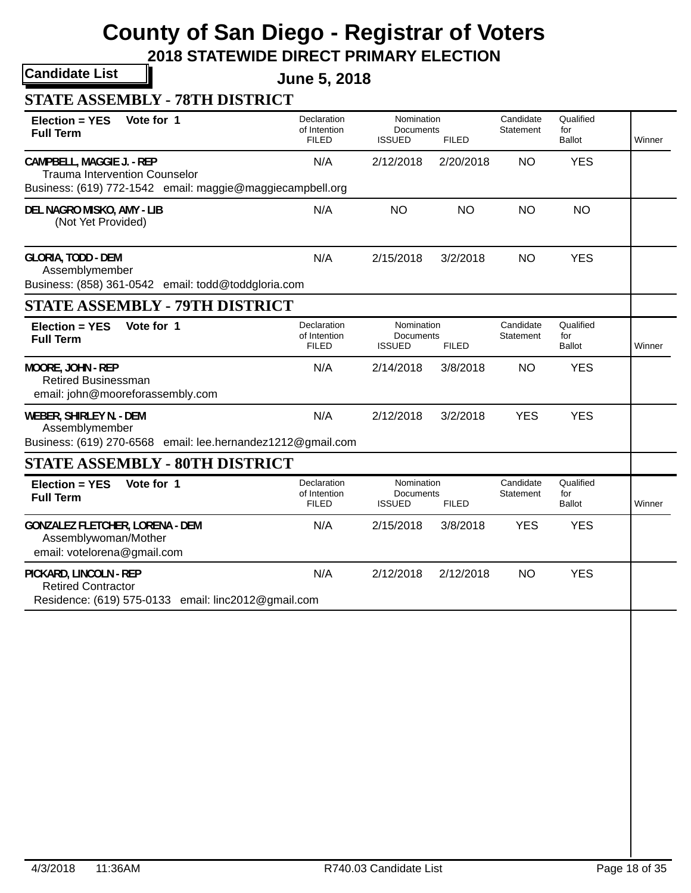**2018 STATEWIDE DIRECT PRIMARY ELECTION**

**Candidate List**

**June 5, 2018**

| Vote for 1<br><b>Election = YES</b><br><b>Full Term</b>                                                                        | Declaration<br>of Intention<br><b>FILED</b> | Nomination<br>Documents<br><b>ISSUED</b> | <b>FILED</b> | Candidate<br>Statement | Qualified<br>for<br><b>Ballot</b> | Winner |
|--------------------------------------------------------------------------------------------------------------------------------|---------------------------------------------|------------------------------------------|--------------|------------------------|-----------------------------------|--------|
| CAMPBELL, MAGGIE J. - REP<br><b>Trauma Intervention Counselor</b><br>Business: (619) 772-1542 email: maggie@maggiecampbell.org | N/A                                         | 2/12/2018                                | 2/20/2018    | <b>NO</b>              | <b>YES</b>                        |        |
| DEL NAGRO MISKO, AMY - LIB<br>(Not Yet Provided)                                                                               | N/A                                         | <b>NO</b>                                | <b>NO</b>    | <b>NO</b>              | <b>NO</b>                         |        |
| <b>GLORIA, TODD - DEM</b><br>Assemblymember<br>Business: (858) 361-0542 email: todd@toddgloria.com                             | N/A                                         | 2/15/2018                                | 3/2/2018     | <b>NO</b>              | <b>YES</b>                        |        |
| <b>STATE ASSEMBLY - 79TH DISTRICT</b>                                                                                          |                                             |                                          |              |                        |                                   |        |
| Vote for 1<br>Election = YES<br><b>Full Term</b>                                                                               | Declaration<br>of Intention<br><b>FILED</b> | Nomination<br>Documents<br><b>ISSUED</b> | <b>FILED</b> | Candidate<br>Statement | Qualified<br>for<br><b>Ballot</b> | Winner |
| MOORE, JOHN - REP<br><b>Retired Businessman</b><br>email: john@mooreforassembly.com                                            | N/A                                         | 2/14/2018                                | 3/8/2018     | <b>NO</b>              | <b>YES</b>                        |        |
| WEBER, SHIRLEY N. - DEM<br>Assemblymember<br>Business: (619) 270-6568 email: lee.hernandez1212@gmail.com                       | N/A                                         | 2/12/2018                                | 3/2/2018     | <b>YES</b>             | <b>YES</b>                        |        |
| <b>STATE ASSEMBLY - 80TH DISTRICT</b>                                                                                          |                                             |                                          |              |                        |                                   |        |
| Vote for 1<br><b>Election = YES</b><br><b>Full Term</b>                                                                        | Declaration<br>of Intention<br><b>FILED</b> | Nomination<br>Documents<br><b>ISSUED</b> | <b>FILED</b> | Candidate<br>Statement | Qualified<br>for<br>Ballot        | Winner |
| <b>GONZALEZ FLETCHER, LORENA - DEM</b><br>Assemblywoman/Mother<br>email: votelorena@gmail.com                                  | N/A                                         | 2/15/2018                                | 3/8/2018     | <b>YES</b>             | <b>YES</b>                        |        |
| PICKARD, LINCOLN - REP<br><b>Retired Contractor</b><br>Residence: (619) 575-0133 email: linc2012@gmail.com                     | N/A                                         | 2/12/2018                                | 2/12/2018    | <b>NO</b>              | <b>YES</b>                        |        |
|                                                                                                                                |                                             |                                          |              |                        |                                   |        |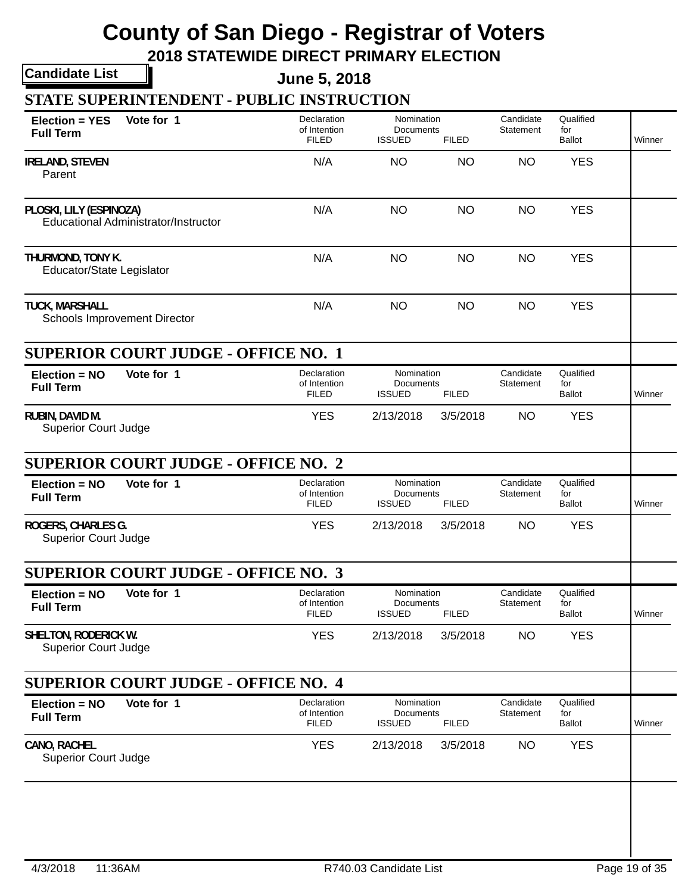**2018 STATEWIDE DIRECT PRIMARY ELECTION**

**Candidate List**

**June 5, 2018**

**STATE SUPERINTENDENT - PUBLIC INSTRUCTION**

| $Election = YES$<br><b>Full Term</b>                | Vote for 1                                 | Declaration<br>of Intention<br><b>FILED</b> | Nomination<br>Documents<br><b>ISSUED</b>        | <b>FILED</b> | Candidate<br>Statement | Qualified<br>for<br><b>Ballot</b> | Winner |
|-----------------------------------------------------|--------------------------------------------|---------------------------------------------|-------------------------------------------------|--------------|------------------------|-----------------------------------|--------|
| <b>IRELAND, STEVEN</b><br>Parent                    |                                            | N/A                                         | NO                                              | <b>NO</b>    | NO                     | <b>YES</b>                        |        |
| PLOSKI, LILY (ESPINOZA)                             | Educational Administrator/Instructor       | N/A                                         | <b>NO</b>                                       | <b>NO</b>    | <b>NO</b>              | <b>YES</b>                        |        |
| THURMOND, TONY K.<br>Educator/State Legislator      |                                            | N/A                                         | <b>NO</b>                                       | <b>NO</b>    | <b>NO</b>              | <b>YES</b>                        |        |
| <b>TUCK, MARSHALL</b>                               | Schools Improvement Director               | N/A                                         | <b>NO</b>                                       | <b>NO</b>    | <b>NO</b>              | <b>YES</b>                        |        |
|                                                     | <b>SUPERIOR COURT JUDGE - OFFICE NO. 1</b> |                                             |                                                 |              |                        |                                   |        |
| $Election = NO$<br><b>Full Term</b>                 | Vote for 1                                 | Declaration<br>of Intention<br><b>FILED</b> | Nomination<br><b>Documents</b><br><b>ISSUED</b> | <b>FILED</b> | Candidate<br>Statement | Qualified<br>for<br><b>Ballot</b> | Winner |
| RUBIN, DAVID M.<br><b>Superior Court Judge</b>      |                                            | <b>YES</b>                                  | 2/13/2018                                       | 3/5/2018     | <b>NO</b>              | <b>YES</b>                        |        |
|                                                     | <b>SUPERIOR COURT JUDGE - OFFICE NO. 2</b> |                                             |                                                 |              |                        |                                   |        |
| Election = NO<br><b>Full Term</b>                   | Vote for 1                                 | Declaration<br>of Intention<br><b>FILED</b> | Nomination<br>Documents<br><b>ISSUED</b>        | <b>FILED</b> | Candidate<br>Statement | Qualified<br>for<br><b>Ballot</b> | Winner |
| ROGERS, CHARLES G.<br><b>Superior Court Judge</b>   |                                            | <b>YES</b>                                  | 2/13/2018                                       | 3/5/2018     | <b>NO</b>              | <b>YES</b>                        |        |
|                                                     | <b>SUPERIOR COURT JUDGE - OFFICE NO. 3</b> |                                             |                                                 |              |                        |                                   |        |
| $Election = NO$<br><b>Full Term</b>                 | Vote for 1                                 | Declaration<br>of Intention<br><b>FILED</b> | Nomination<br>Documents<br><b>ISSUED</b>        | <b>FILED</b> | Candidate<br>Statement | Qualified<br>for<br><b>Ballot</b> | Winner |
| SHELTON, RODERICK W.<br><b>Superior Court Judge</b> |                                            | <b>YES</b>                                  | 2/13/2018                                       | 3/5/2018     | <b>NO</b>              | <b>YES</b>                        |        |
|                                                     | <b>SUPERIOR COURT JUDGE - OFFICE NO. 4</b> |                                             |                                                 |              |                        |                                   |        |
| Election = NO<br><b>Full Term</b>                   | Vote for 1                                 | Declaration<br>of Intention<br><b>FILED</b> | Nomination<br>Documents<br><b>ISSUED</b>        | <b>FILED</b> | Candidate<br>Statement | Qualified<br>for<br><b>Ballot</b> | Winner |
| CANO, RACHEL<br><b>Superior Court Judge</b>         |                                            | <b>YES</b>                                  | 2/13/2018                                       | 3/5/2018     | <b>NO</b>              | <b>YES</b>                        |        |
|                                                     |                                            |                                             |                                                 |              |                        |                                   |        |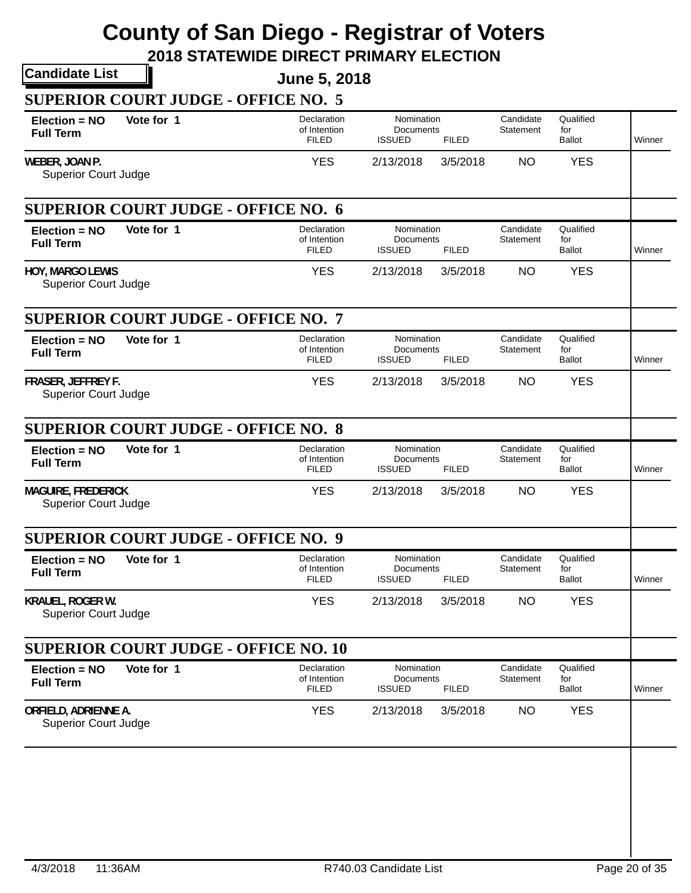|                                                          | <b>Candidate List</b>                       | <b>June 5, 2018</b>                         |                                          |              |                        |                                   |        |
|----------------------------------------------------------|---------------------------------------------|---------------------------------------------|------------------------------------------|--------------|------------------------|-----------------------------------|--------|
|                                                          | <b>SUPERIOR COURT JUDGE - OFFICE NO. 5</b>  |                                             |                                          |              |                        |                                   |        |
| $Election = NO$<br><b>Full Term</b>                      | Vote for 1                                  | Declaration<br>of Intention<br><b>FILED</b> | Nomination<br>Documents<br><b>ISSUED</b> | <b>FILED</b> | Candidate<br>Statement | Qualified<br>for<br><b>Ballot</b> | Winner |
| WEBER, JOAN P.<br><b>Superior Court Judge</b>            |                                             | <b>YES</b>                                  | 2/13/2018                                | 3/5/2018     | <b>NO</b>              | <b>YES</b>                        |        |
|                                                          | <b>SUPERIOR COURT JUDGE - OFFICE NO. 6</b>  |                                             |                                          |              |                        |                                   |        |
| Election = NO<br><b>Full Term</b>                        | Vote for 1                                  | Declaration<br>of Intention<br><b>FILED</b> | Nomination<br>Documents<br><b>ISSUED</b> | <b>FILED</b> | Candidate<br>Statement | Qualified<br>for<br><b>Ballot</b> | Winner |
| HOY, MARGO LEWIS<br><b>Superior Court Judge</b>          |                                             | <b>YES</b>                                  | 2/13/2018                                | 3/5/2018     | <b>NO</b>              | <b>YES</b>                        |        |
|                                                          | <b>SUPERIOR COURT JUDGE - OFFICE NO. 7</b>  |                                             |                                          |              |                        |                                   |        |
| Election = NO<br><b>Full Term</b>                        | Vote for 1                                  | Declaration<br>of Intention<br><b>FILED</b> | Nomination<br>Documents<br><b>ISSUED</b> | <b>FILED</b> | Candidate<br>Statement | Qualified<br>for<br><b>Ballot</b> | Winner |
| FRASER, JEFFREY F.<br><b>Superior Court Judge</b>        |                                             | <b>YES</b>                                  | 2/13/2018                                | 3/5/2018     | <b>NO</b>              | <b>YES</b>                        |        |
|                                                          | <b>SUPERIOR COURT JUDGE - OFFICE NO. 8</b>  |                                             |                                          |              |                        |                                   |        |
| Election = NO<br><b>Full Term</b>                        | Vote for 1                                  | Declaration<br>of Intention<br><b>FILED</b> | Nomination<br>Documents<br><b>ISSUED</b> | <b>FILED</b> | Candidate<br>Statement | Qualified<br>for<br><b>Ballot</b> | Winner |
| <b>MAGUIRE, FREDERICK</b><br><b>Superior Court Judge</b> |                                             | <b>YES</b>                                  | 2/13/2018                                | 3/5/2018     | <b>NO</b>              | <b>YES</b>                        |        |
|                                                          | <b>SUPERIOR COURT JUDGE - OFFICE NO. 9</b>  |                                             |                                          |              |                        |                                   |        |
| Election = NO<br><b>Full Term</b>                        | Vote for 1                                  | Declaration<br>of Intention<br><b>FILED</b> | Nomination<br>Documents<br><b>ISSUED</b> | <b>FILED</b> | Candidate<br>Statement | Qualified<br>for<br><b>Ballot</b> | Winner |
| KRAUEL, ROGER W.                                         |                                             | <b>YES</b>                                  | 2/13/2018                                | 3/5/2018     | <b>NO</b>              | <b>YES</b>                        |        |
| <b>Superior Court Judge</b>                              |                                             |                                             |                                          |              |                        |                                   |        |
|                                                          | <b>SUPERIOR COURT JUDGE - OFFICE NO. 10</b> |                                             |                                          |              |                        |                                   |        |
| $Election = NO$<br><b>Full Term</b>                      | Vote for 1                                  | Declaration<br>of Intention<br><b>FILED</b> | Nomination<br>Documents<br><b>ISSUED</b> | <b>FILED</b> | Candidate<br>Statement | Qualified<br>for<br><b>Ballot</b> | Winner |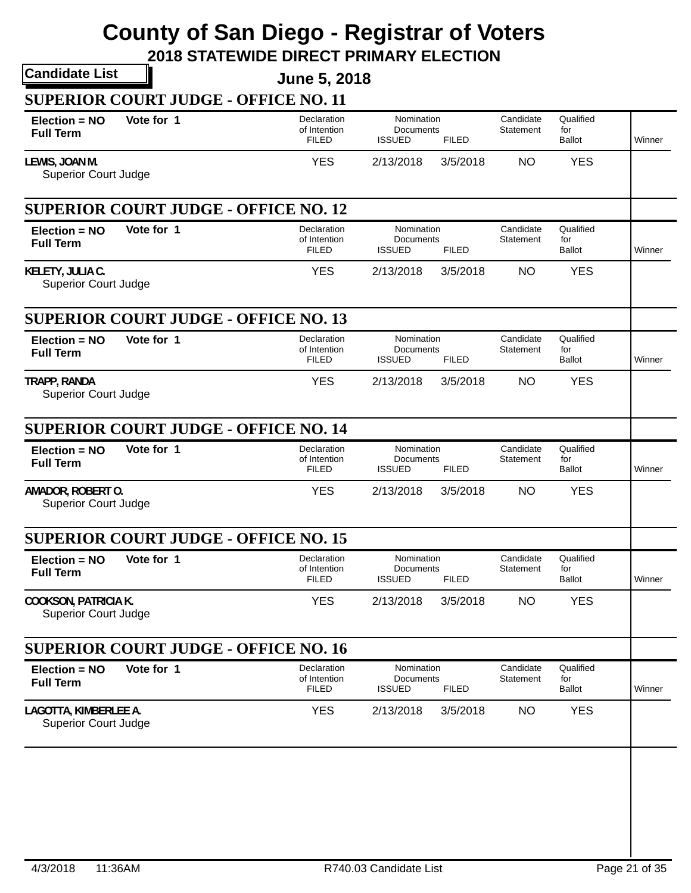|                                                  |                                             | <b>June 5, 2018</b>                         |                                          |              |                        |                                   |        |
|--------------------------------------------------|---------------------------------------------|---------------------------------------------|------------------------------------------|--------------|------------------------|-----------------------------------|--------|
|                                                  | <b>SUPERIOR COURT JUDGE - OFFICE NO. 11</b> |                                             |                                          |              |                        |                                   |        |
| $Election = NO$<br><b>Full Term</b>              | Vote for 1                                  | Declaration<br>of Intention<br><b>FILED</b> | Nomination<br>Documents<br><b>ISSUED</b> | <b>FILED</b> | Candidate<br>Statement | Qualified<br>for<br><b>Ballot</b> | Winner |
| LEWIS, JOAN M.<br><b>Superior Court Judge</b>    |                                             | <b>YES</b>                                  | 2/13/2018                                | 3/5/2018     | <b>NO</b>              | <b>YES</b>                        |        |
|                                                  | <b>SUPERIOR COURT JUDGE - OFFICE NO. 12</b> |                                             |                                          |              |                        |                                   |        |
| Election = NO<br><b>Full Term</b>                | Vote for 1                                  | Declaration<br>of Intention<br><b>FILED</b> | Nomination<br>Documents<br><b>ISSUED</b> | <b>FILED</b> | Candidate<br>Statement | Qualified<br>for<br><b>Ballot</b> | Winner |
| KELETY, JULIA C.<br><b>Superior Court Judge</b>  |                                             | <b>YES</b>                                  | 2/13/2018                                | 3/5/2018     | <b>NO</b>              | <b>YES</b>                        |        |
|                                                  | <b>SUPERIOR COURT JUDGE - OFFICE NO. 13</b> |                                             |                                          |              |                        |                                   |        |
| Election = NO<br><b>Full Term</b>                | Vote for 1                                  | Declaration<br>of Intention<br><b>FILED</b> | Nomination<br>Documents<br><b>ISSUED</b> | <b>FILED</b> | Candidate<br>Statement | Qualified<br>for<br><b>Ballot</b> | Winner |
| TRAPP, RANDA<br><b>Superior Court Judge</b>      |                                             | <b>YES</b>                                  | 2/13/2018                                | 3/5/2018     | <b>NO</b>              | <b>YES</b>                        |        |
|                                                  | <b>SUPERIOR COURT JUDGE - OFFICE NO. 14</b> |                                             |                                          |              |                        |                                   |        |
| Election = NO<br><b>Full Term</b>                | Vote for 1                                  | Declaration<br>of Intention<br><b>FILED</b> | Nomination<br>Documents<br><b>ISSUED</b> | <b>FILED</b> | Candidate<br>Statement | Qualified<br>for<br><b>Ballot</b> | Winner |
| AMADOR, ROBERT O.<br><b>Superior Court Judge</b> |                                             | <b>YES</b>                                  | 2/13/2018                                | 3/5/2018     | <b>NO</b>              | <b>YES</b>                        |        |
|                                                  |                                             |                                             |                                          |              |                        |                                   |        |
|                                                  | <b>SUPERIOR COURT JUDGE - OFFICE NO. 15</b> |                                             |                                          |              |                        |                                   |        |
| Election = NO<br><b>Full Term</b>                | Vote for 1                                  | Declaration<br>of Intention<br><b>FILED</b> | Nomination<br>Documents<br><b>ISSUED</b> | <b>FILED</b> | Candidate<br>Statement | Qualified<br>for<br><b>Ballot</b> | Winner |
| <b>Superior Court Judge</b>                      |                                             | <b>YES</b>                                  | 2/13/2018                                | 3/5/2018     | <b>NO</b>              | <b>YES</b>                        |        |
| <b>COOKSON, PATRICIA K.</b>                      | <b>SUPERIOR COURT JUDGE - OFFICE NO. 16</b> |                                             |                                          |              |                        |                                   |        |
| $Election = NO$<br><b>Full Term</b>              | Vote for 1                                  | Declaration<br>of Intention<br><b>FILED</b> | Nomination<br>Documents<br><b>ISSUED</b> | <b>FILED</b> | Candidate<br>Statement | Qualified<br>for<br><b>Ballot</b> | Winner |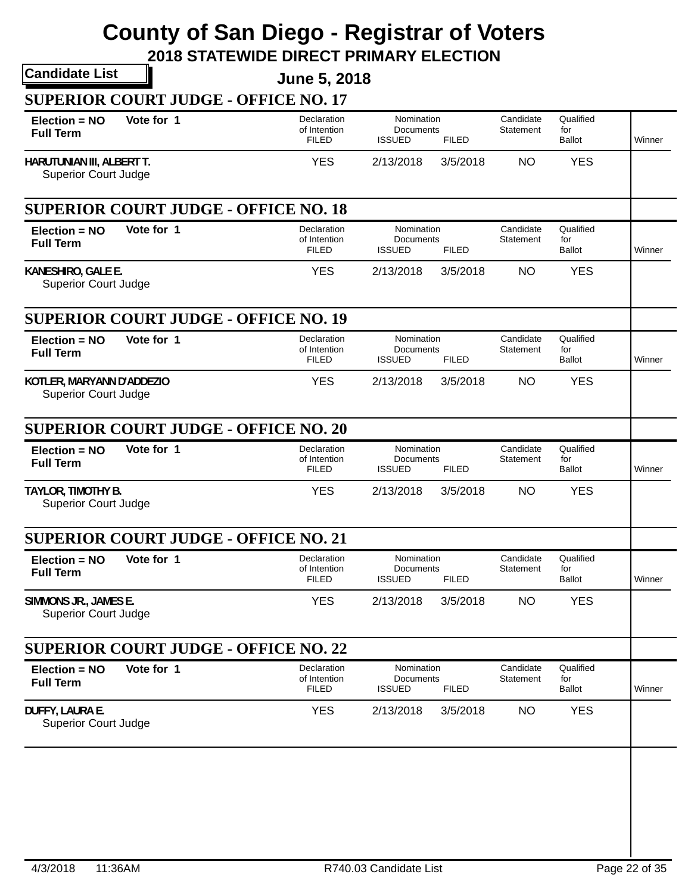|                                                          | <b>Candidate List</b>                       | <b>June 5, 2018</b>                         |                                                 |              |                        |                                   |        |
|----------------------------------------------------------|---------------------------------------------|---------------------------------------------|-------------------------------------------------|--------------|------------------------|-----------------------------------|--------|
|                                                          | <b>SUPERIOR COURT JUDGE - OFFICE NO. 17</b> |                                             |                                                 |              |                        |                                   |        |
| $Election = NO$<br><b>Full Term</b>                      | Vote for 1                                  | Declaration<br>of Intention<br><b>FILED</b> | Nomination<br>Documents<br><b>ISSUED</b>        | <b>FILED</b> | Candidate<br>Statement | Qualified<br>for<br><b>Ballot</b> | Winner |
| HARUTUNIAN III, ALBERT T.<br><b>Superior Court Judge</b> |                                             | <b>YES</b>                                  | 2/13/2018                                       | 3/5/2018     | <b>NO</b>              | <b>YES</b>                        |        |
|                                                          | <b>SUPERIOR COURT JUDGE - OFFICE NO. 18</b> |                                             |                                                 |              |                        |                                   |        |
| Election = NO<br><b>Full Term</b>                        | Vote for 1                                  | Declaration<br>of Intention<br><b>FILED</b> | Nomination<br>Documents<br><b>ISSUED</b>        | <b>FILED</b> | Candidate<br>Statement | Qualified<br>for<br><b>Ballot</b> | Winner |
| KANESHIRO, GALE E.<br><b>Superior Court Judge</b>        |                                             | <b>YES</b>                                  | 2/13/2018                                       | 3/5/2018     | <b>NO</b>              | <b>YES</b>                        |        |
|                                                          | <b>SUPERIOR COURT JUDGE - OFFICE NO. 19</b> |                                             |                                                 |              |                        |                                   |        |
| Election = NO<br><b>Full Term</b>                        | Vote for 1                                  | Declaration<br>of Intention<br><b>FILED</b> | Nomination<br>Documents<br><b>ISSUED</b>        | <b>FILED</b> | Candidate<br>Statement | Qualified<br>for<br><b>Ballot</b> | Winner |
| KOTLER, MARYANN D'ADDEZIO<br><b>Superior Court Judge</b> |                                             | <b>YES</b>                                  | 2/13/2018                                       | 3/5/2018     | <b>NO</b>              | <b>YES</b>                        |        |
|                                                          | <b>SUPERIOR COURT JUDGE - OFFICE NO. 20</b> |                                             |                                                 |              |                        |                                   |        |
| Election = NO<br><b>Full Term</b>                        | Vote for 1                                  | Declaration<br>of Intention<br><b>FILED</b> | Nomination<br>Documents<br><b>ISSUED</b>        | <b>FILED</b> | Candidate<br>Statement | Qualified<br>for<br><b>Ballot</b> | Winner |
| TAYLOR, TIMOTHY B.<br><b>Superior Court Judge</b>        |                                             | <b>YES</b>                                  | 2/13/2018                                       | 3/5/2018     | <b>NO</b>              | <b>YES</b>                        |        |
|                                                          | <b>SUPERIOR COURT JUDGE - OFFICE NO. 21</b> |                                             |                                                 |              |                        |                                   |        |
| Election = NO<br><b>Full Term</b>                        | Vote for 1                                  | Declaration<br>of Intention<br><b>FILED</b> | Nomination<br>Documents<br><b>ISSUED</b>        | <b>FILED</b> | Candidate<br>Statement | Qualified<br>for<br><b>Ballot</b> | Winner |
| SIMMONS JR., JAMES E.<br><b>Superior Court Judge</b>     |                                             | <b>YES</b>                                  | 2/13/2018                                       | 3/5/2018     | <b>NO</b>              | <b>YES</b>                        |        |
|                                                          | <b>SUPERIOR COURT JUDGE - OFFICE NO. 22</b> |                                             |                                                 |              |                        |                                   |        |
|                                                          | Vote for 1                                  | Declaration<br>of Intention<br><b>FILED</b> | Nomination<br><b>Documents</b><br><b>ISSUED</b> | <b>FILED</b> | Candidate<br>Statement | Qualified<br>for<br><b>Ballot</b> | Winner |
| Election = NO<br><b>Full Term</b>                        |                                             |                                             |                                                 |              | <b>NO</b>              | <b>YES</b>                        |        |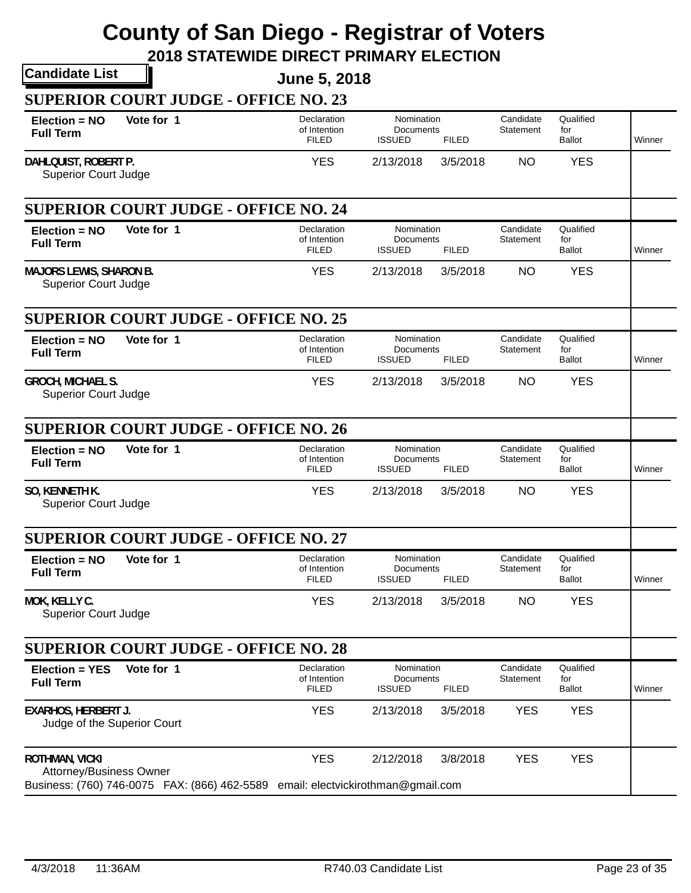| <b>Candidate List</b>                                                                                                               | <b>June 5, 2018</b>                         |                                                          |                               |                                   |        |
|-------------------------------------------------------------------------------------------------------------------------------------|---------------------------------------------|----------------------------------------------------------|-------------------------------|-----------------------------------|--------|
| <b>SUPERIOR COURT JUDGE - OFFICE NO. 23</b>                                                                                         |                                             |                                                          |                               |                                   |        |
| Vote for 1<br>$Election = NO$<br><b>Full Term</b>                                                                                   | Declaration<br>of Intention<br><b>FILED</b> | Nomination<br>Documents<br><b>ISSUED</b><br><b>FILED</b> | Candidate<br>Statement        | Qualified<br>for<br><b>Ballot</b> | Winner |
| DAHLQUIST, ROBERT P.<br><b>Superior Court Judge</b>                                                                                 | <b>YES</b>                                  | 2/13/2018<br>3/5/2018                                    | <b>NO</b>                     | <b>YES</b>                        |        |
| <b>SUPERIOR COURT JUDGE - OFFICE NO. 24</b>                                                                                         |                                             |                                                          |                               |                                   |        |
| Vote for 1<br>Election = NO<br><b>Full Term</b>                                                                                     | Declaration<br>of Intention<br><b>FILED</b> | Nomination<br>Documents<br><b>ISSUED</b><br><b>FILED</b> | Candidate<br>Statement        | Qualified<br>for<br><b>Ballot</b> | Winner |
| <b>MAJORS LEWIS, SHARON B.</b><br><b>Superior Court Judge</b>                                                                       | <b>YES</b>                                  | 2/13/2018<br>3/5/2018                                    | <b>NO</b>                     | <b>YES</b>                        |        |
| <b>SUPERIOR COURT JUDGE - OFFICE NO. 25</b>                                                                                         |                                             |                                                          |                               |                                   |        |
| Vote for 1<br>Election = NO<br><b>Full Term</b>                                                                                     | Declaration<br>of Intention<br><b>FILED</b> | Nomination<br>Documents<br><b>ISSUED</b><br><b>FILED</b> | Candidate<br>Statement        | Qualified<br>for<br><b>Ballot</b> | Winner |
| <b>GROCH, MICHAEL S.</b><br><b>Superior Court Judge</b>                                                                             | <b>YES</b>                                  | 2/13/2018<br>3/5/2018                                    | <b>NO</b>                     | <b>YES</b>                        |        |
| <b>SUPERIOR COURT JUDGE - OFFICE NO. 26</b>                                                                                         |                                             |                                                          |                               |                                   |        |
| Vote for 1<br>Election = NO<br><b>Full Term</b>                                                                                     | Declaration<br>of Intention<br><b>FILED</b> | Nomination<br>Documents<br><b>ISSUED</b><br><b>FILED</b> | Candidate<br>Statement        | Qualified<br>for<br><b>Ballot</b> | Winner |
| SO, KENNETH K.<br><b>Superior Court Judge</b>                                                                                       | <b>YES</b>                                  | 2/13/2018<br>3/5/2018                                    | <b>NO</b>                     | <b>YES</b>                        |        |
| <b>SUPERIOR COURT JUDGE - OFFICE NO. 27</b>                                                                                         |                                             |                                                          |                               |                                   |        |
| Vote for 1<br>Election = NO<br><b>Full Term</b>                                                                                     | Declaration<br>of Intention<br><b>FILED</b> | Nomination<br>Documents<br><b>ISSUED</b><br><b>FILED</b> | Candidate<br>Statement        | Qualified<br>for<br><b>Ballot</b> | Winner |
| MOK, KELLY C.<br><b>Superior Court Judge</b>                                                                                        | <b>YES</b>                                  | 2/13/2018<br>3/5/2018                                    | <b>NO</b>                     | <b>YES</b>                        |        |
| <b>SUPERIOR COURT JUDGE - OFFICE NO. 28</b>                                                                                         |                                             |                                                          |                               |                                   |        |
| Vote for 1<br><b>Election = YES</b><br><b>Full Term</b>                                                                             | Declaration<br>of Intention<br><b>FILED</b> | Nomination<br>Documents<br><b>ISSUED</b><br><b>FILED</b> | Candidate<br><b>Statement</b> | Qualified<br>for<br><b>Ballot</b> | Winner |
| <b>EXARHOS, HERBERT J.</b><br>Judge of the Superior Court                                                                           | <b>YES</b>                                  | 2/13/2018<br>3/5/2018                                    | <b>YES</b>                    | <b>YES</b>                        |        |
| <b>ROTHMAN, VICKI</b><br>Attorney/Business Owner<br>Business: (760) 746-0075 FAX: (866) 462-5589 email: electvickirothman@gmail.com | <b>YES</b>                                  | 2/12/2018<br>3/8/2018                                    | <b>YES</b>                    | <b>YES</b>                        |        |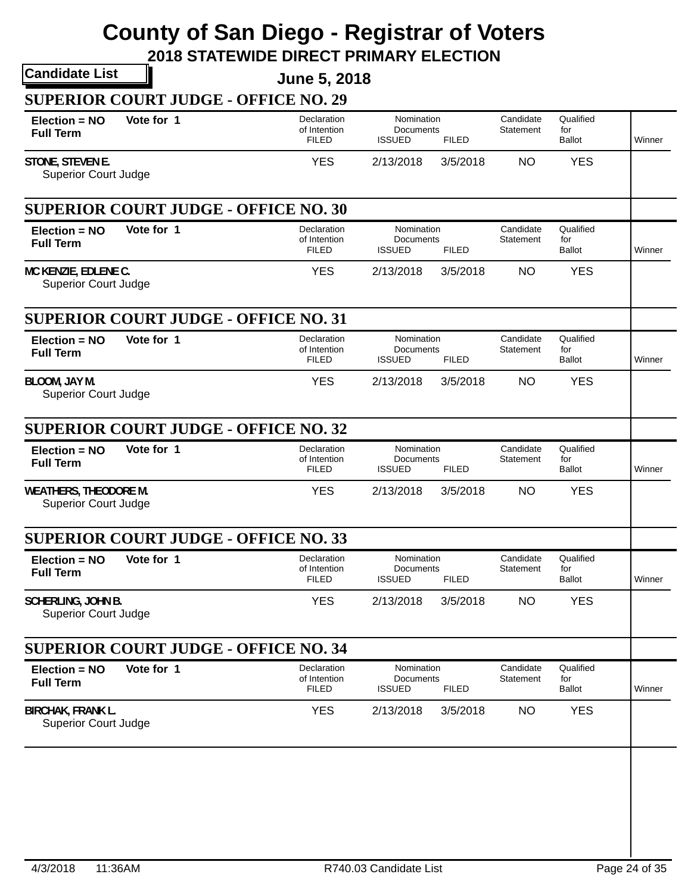|                                                             | <b>Candidate List</b>                       | <b>June 5, 2018</b>                         |                                                 |              |                        |                                   |        |
|-------------------------------------------------------------|---------------------------------------------|---------------------------------------------|-------------------------------------------------|--------------|------------------------|-----------------------------------|--------|
|                                                             | <b>SUPERIOR COURT JUDGE - OFFICE NO. 29</b> |                                             |                                                 |              |                        |                                   |        |
| $Election = NO$<br><b>Full Term</b>                         | Vote for 1                                  | Declaration<br>of Intention<br><b>FILED</b> | Nomination<br>Documents<br><b>ISSUED</b>        | <b>FILED</b> | Candidate<br>Statement | Qualified<br>for<br><b>Ballot</b> | Winner |
| STONE, STEVEN E.<br><b>Superior Court Judge</b>             |                                             | <b>YES</b>                                  | 2/13/2018                                       | 3/5/2018     | <b>NO</b>              | <b>YES</b>                        |        |
|                                                             | <b>SUPERIOR COURT JUDGE - OFFICE NO. 30</b> |                                             |                                                 |              |                        |                                   |        |
| Election = NO<br><b>Full Term</b>                           | Vote for 1                                  | Declaration<br>of Intention<br><b>FILED</b> | Nomination<br>Documents<br><b>ISSUED</b>        | <b>FILED</b> | Candidate<br>Statement | Qualified<br>for<br><b>Ballot</b> | Winner |
| MC KENZIE, EDLENE C.<br><b>Superior Court Judge</b>         |                                             | <b>YES</b>                                  | 2/13/2018                                       | 3/5/2018     | <b>NO</b>              | <b>YES</b>                        |        |
|                                                             | <b>SUPERIOR COURT JUDGE - OFFICE NO. 31</b> |                                             |                                                 |              |                        |                                   |        |
| Election = NO<br><b>Full Term</b>                           | Vote for 1                                  | Declaration<br>of Intention<br><b>FILED</b> | Nomination<br><b>Documents</b><br><b>ISSUED</b> | <b>FILED</b> | Candidate<br>Statement | Qualified<br>for<br><b>Ballot</b> | Winner |
| BLOOM, JAY M.<br><b>Superior Court Judge</b>                |                                             | <b>YES</b>                                  | 2/13/2018                                       | 3/5/2018     | <b>NO</b>              | <b>YES</b>                        |        |
|                                                             | <b>SUPERIOR COURT JUDGE - OFFICE NO. 32</b> |                                             |                                                 |              |                        |                                   |        |
| Election = NO<br><b>Full Term</b>                           | Vote for 1                                  | Declaration<br>of Intention<br><b>FILED</b> | Nomination<br>Documents<br><b>ISSUED</b>        | <b>FILED</b> | Candidate<br>Statement | Qualified<br>for<br><b>Ballot</b> | Winner |
| <b>WEATHERS, THEODORE M.</b><br><b>Superior Court Judge</b> |                                             | <b>YES</b>                                  | 2/13/2018                                       | 3/5/2018     | <b>NO</b>              | <b>YES</b>                        |        |
|                                                             | <b>SUPERIOR COURT JUDGE - OFFICE NO. 33</b> |                                             |                                                 |              |                        |                                   |        |
| Election = NO<br><b>Full Term</b>                           | Vote for 1                                  | Declaration<br>of Intention<br><b>FILED</b> | Nomination<br>Documents<br><b>ISSUED</b>        | <b>FILED</b> | Candidate<br>Statement | Qualified<br>for<br><b>Ballot</b> | Winner |
| <b>SCHERLING, JOHN B.</b><br><b>Superior Court Judge</b>    |                                             | <b>YES</b>                                  | 2/13/2018                                       | 3/5/2018     | <b>NO</b>              | <b>YES</b>                        |        |
|                                                             |                                             |                                             |                                                 |              |                        |                                   |        |
| <b>SUPERIOR COURT JUDGE - OFFICE NO. 34</b>                 |                                             |                                             |                                                 |              | Candidate              | Qualified                         |        |
| Election = NO<br><b>Full Term</b>                           | Vote for 1                                  | Declaration<br>of Intention<br><b>FILED</b> | Nomination<br>Documents<br><b>ISSUED</b>        | <b>FILED</b> | <b>Statement</b>       | for<br><b>Ballot</b>              | Winner |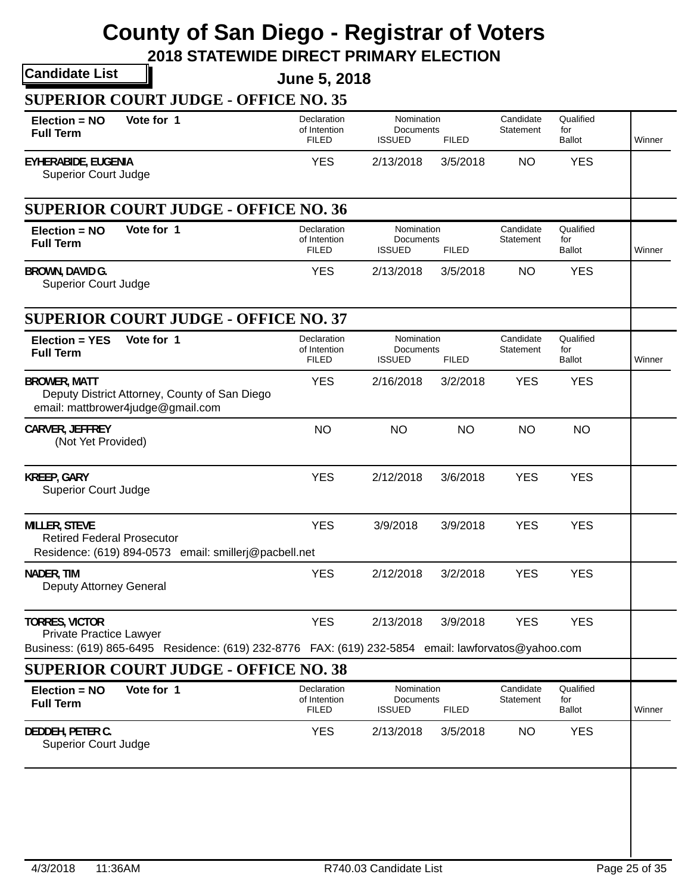| <b>Candidate List</b>                                                                                                                              | <b>June 5, 2018</b>                         |                                          |              |                        |                                   |        |
|----------------------------------------------------------------------------------------------------------------------------------------------------|---------------------------------------------|------------------------------------------|--------------|------------------------|-----------------------------------|--------|
| <b>SUPERIOR COURT JUDGE - OFFICE NO. 35</b>                                                                                                        |                                             |                                          |              |                        |                                   |        |
| Vote for 1<br>Election = NO<br><b>Full Term</b>                                                                                                    | Declaration<br>of Intention<br><b>FILED</b> | Nomination<br>Documents<br><b>ISSUED</b> | <b>FILED</b> | Candidate<br>Statement | Qualified<br>for<br><b>Ballot</b> | Winner |
| <b>EYHERABIDE, EUGENIA</b><br><b>Superior Court Judge</b>                                                                                          | <b>YES</b>                                  | 2/13/2018                                | 3/5/2018     | <b>NO</b>              | <b>YES</b>                        |        |
| <b>SUPERIOR COURT JUDGE - OFFICE NO. 36</b>                                                                                                        |                                             |                                          |              |                        |                                   |        |
| Vote for 1<br>Election = NO<br><b>Full Term</b>                                                                                                    | Declaration<br>of Intention<br><b>FILED</b> | Nomination<br>Documents<br><b>ISSUED</b> | <b>FILED</b> | Candidate<br>Statement | Qualified<br>for<br><b>Ballot</b> | Winner |
| BROWN, DAVID G.<br><b>Superior Court Judge</b>                                                                                                     | <b>YES</b>                                  | 2/13/2018                                | 3/5/2018     | <b>NO</b>              | <b>YES</b>                        |        |
| <b>SUPERIOR COURT JUDGE - OFFICE NO. 37</b>                                                                                                        |                                             |                                          |              |                        |                                   |        |
| Vote for 1<br>Election = YES<br><b>Full Term</b>                                                                                                   | Declaration<br>of Intention<br><b>FILED</b> | Nomination<br>Documents<br><b>ISSUED</b> | <b>FILED</b> | Candidate<br>Statement | Qualified<br>for<br><b>Ballot</b> | Winner |
| <b>BROWER, MATT</b><br>Deputy District Attorney, County of San Diego<br>email: mattbrower4judge@gmail.com                                          | <b>YES</b>                                  | 2/16/2018                                | 3/2/2018     | <b>YES</b>             | <b>YES</b>                        |        |
| CARVER, JEFFREY<br>(Not Yet Provided)                                                                                                              | <b>NO</b>                                   | <b>NO</b>                                | <b>NO</b>    | <b>NO</b>              | <b>NO</b>                         |        |
| <b>KREEP, GARY</b><br><b>Superior Court Judge</b>                                                                                                  | <b>YES</b>                                  | 2/12/2018                                | 3/6/2018     | <b>YES</b>             | <b>YES</b>                        |        |
| <b>MILLER, STEVE</b><br><b>Retired Federal Prosecutor</b><br>Residence: (619) 894-0573 email: smillerj@pacbell.net                                 | <b>YES</b>                                  | 3/9/2018                                 | 3/9/2018     | <b>YES</b>             | <b>YES</b>                        |        |
| NADER, TIM<br>Deputy Attorney General                                                                                                              | <b>YES</b>                                  | 2/12/2018                                | 3/2/2018     | <b>YES</b>             | <b>YES</b>                        |        |
| <b>TORRES, VICTOR</b><br><b>Private Practice Lawyer</b>                                                                                            | <b>YES</b>                                  | 2/13/2018                                | 3/9/2018     | <b>YES</b>             | <b>YES</b>                        |        |
| Business: (619) 865-6495 Residence: (619) 232-8776 FAX: (619) 232-5854 email: lawforvatos@yahoo.com<br><b>SUPERIOR COURT JUDGE - OFFICE NO. 38</b> |                                             |                                          |              |                        |                                   |        |
| Vote for 1<br>Election = NO<br><b>Full Term</b>                                                                                                    | Declaration<br>of Intention<br><b>FILED</b> | Nomination<br>Documents<br><b>ISSUED</b> | <b>FILED</b> | Candidate<br>Statement | Qualified<br>for<br>Ballot        | Winner |
| DEDDEH, PETER C.<br><b>Superior Court Judge</b>                                                                                                    | <b>YES</b>                                  | 2/13/2018                                | 3/5/2018     | <b>NO</b>              | <b>YES</b>                        |        |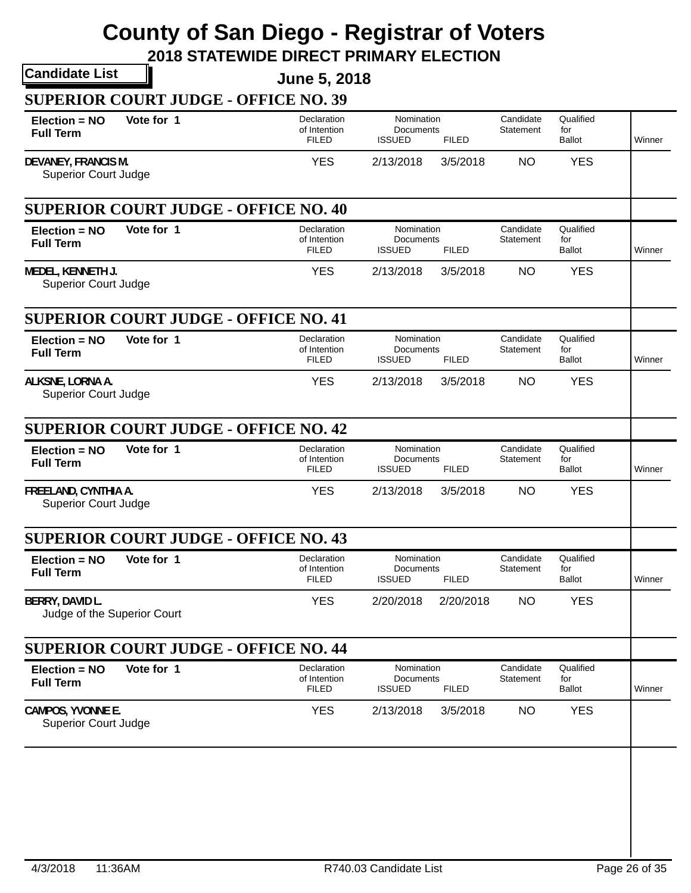|                                                     |                                             | <b>June 5, 2018</b>                         |                                          |              |                        |                                   |        |
|-----------------------------------------------------|---------------------------------------------|---------------------------------------------|------------------------------------------|--------------|------------------------|-----------------------------------|--------|
|                                                     | <b>SUPERIOR COURT JUDGE - OFFICE NO. 39</b> |                                             |                                          |              |                        |                                   |        |
| $Election = NO$<br><b>Full Term</b>                 | Vote for 1                                  | Declaration<br>of Intention<br><b>FILED</b> | Nomination<br>Documents<br><b>ISSUED</b> | <b>FILED</b> | Candidate<br>Statement | Qualified<br>for<br><b>Ballot</b> | Winner |
| DEVANEY, FRANCIS M.<br><b>Superior Court Judge</b>  |                                             | <b>YES</b>                                  | 2/13/2018                                | 3/5/2018     | <b>NO</b>              | <b>YES</b>                        |        |
|                                                     | <b>SUPERIOR COURT JUDGE - OFFICE NO. 40</b> |                                             |                                          |              |                        |                                   |        |
| Election = NO<br><b>Full Term</b>                   | Vote for 1                                  | Declaration<br>of Intention<br><b>FILED</b> | Nomination<br>Documents<br><b>ISSUED</b> | <b>FILED</b> | Candidate<br>Statement | Qualified<br>for<br><b>Ballot</b> | Winner |
| MEDEL, KENNETH J.<br><b>Superior Court Judge</b>    |                                             | <b>YES</b>                                  | 2/13/2018                                | 3/5/2018     | <b>NO</b>              | <b>YES</b>                        |        |
|                                                     | <b>SUPERIOR COURT JUDGE - OFFICE NO. 41</b> |                                             |                                          |              |                        |                                   |        |
| Election = NO<br><b>Full Term</b>                   | Vote for 1                                  | Declaration<br>of Intention<br><b>FILED</b> | Nomination<br>Documents<br><b>ISSUED</b> | <b>FILED</b> | Candidate<br>Statement | Qualified<br>for<br><b>Ballot</b> | Winner |
| ALKSNE, LORNA A.<br><b>Superior Court Judge</b>     |                                             | <b>YES</b>                                  | 2/13/2018                                | 3/5/2018     | <b>NO</b>              | <b>YES</b>                        |        |
|                                                     | <b>SUPERIOR COURT JUDGE - OFFICE NO. 42</b> |                                             |                                          |              |                        |                                   |        |
| Election = NO<br><b>Full Term</b>                   | Vote for 1                                  | Declaration<br>of Intention<br><b>FILED</b> | Nomination<br>Documents<br><b>ISSUED</b> | <b>FILED</b> | Candidate<br>Statement | Qualified<br>for<br><b>Ballot</b> | Winner |
| FREELAND, CYNTHIA A.<br><b>Superior Court Judge</b> |                                             | <b>YES</b>                                  | 2/13/2018                                | 3/5/2018     | <b>NO</b>              | <b>YES</b>                        |        |
|                                                     |                                             |                                             |                                          |              |                        |                                   |        |
|                                                     | <b>SUPERIOR COURT JUDGE - OFFICE NO. 43</b> |                                             |                                          |              |                        |                                   |        |
| $Election = NO$<br><b>Full Term</b>                 | Vote for 1                                  | Declaration<br>of Intention<br><b>FILED</b> | Nomination<br>Documents<br><b>ISSUED</b> | <b>FILED</b> | Candidate<br>Statement | Qualified<br>for<br><b>Ballot</b> | Winner |
| BERRY, DAVID L.<br>Judge of the Superior Court      |                                             | <b>YES</b>                                  | 2/20/2018                                | 2/20/2018    | <b>NO</b>              | <b>YES</b>                        |        |
|                                                     | <b>SUPERIOR COURT JUDGE - OFFICE NO. 44</b> |                                             |                                          |              |                        |                                   |        |
| $Election = NO$<br><b>Full Term</b>                 | Vote for 1                                  | Declaration<br>of Intention<br><b>FILED</b> | Nomination<br>Documents<br><b>ISSUED</b> | <b>FILED</b> | Candidate<br>Statement | Qualified<br>for<br><b>Ballot</b> | Winner |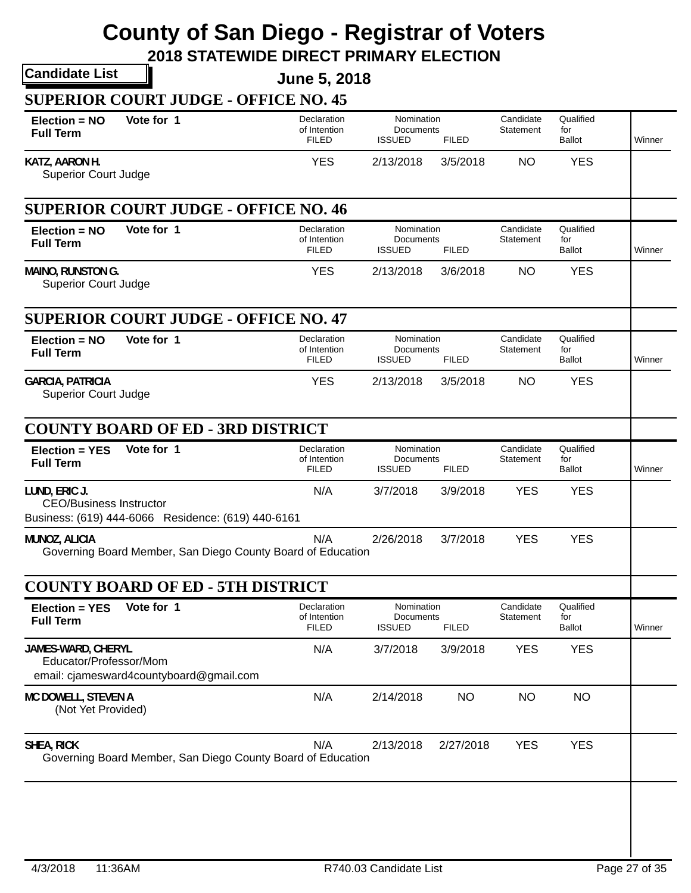| <b>June 5, 2018</b>                            |                                                                                                                                                                                                                                                                                         |                                                                            |                                                                                                          |                                   |        |
|------------------------------------------------|-----------------------------------------------------------------------------------------------------------------------------------------------------------------------------------------------------------------------------------------------------------------------------------------|----------------------------------------------------------------------------|----------------------------------------------------------------------------------------------------------|-----------------------------------|--------|
|                                                |                                                                                                                                                                                                                                                                                         |                                                                            |                                                                                                          |                                   |        |
| Declaration<br>of Intention<br><b>FILED</b>    | <b>ISSUED</b>                                                                                                                                                                                                                                                                           | <b>FILED</b>                                                               | Candidate<br>Statement                                                                                   | Qualified<br>for<br><b>Ballot</b> | Winner |
| <b>YES</b>                                     | 2/13/2018                                                                                                                                                                                                                                                                               | 3/5/2018                                                                   | <b>NO</b>                                                                                                | <b>YES</b>                        |        |
|                                                |                                                                                                                                                                                                                                                                                         |                                                                            |                                                                                                          |                                   |        |
| Declaration<br>of Intention<br><b>FILED</b>    | <b>ISSUED</b>                                                                                                                                                                                                                                                                           | <b>FILED</b>                                                               | Candidate<br>Statement                                                                                   | Qualified<br>for<br><b>Ballot</b> | Winner |
| <b>YES</b>                                     | 2/13/2018                                                                                                                                                                                                                                                                               | 3/6/2018                                                                   | <b>NO</b>                                                                                                | <b>YES</b>                        |        |
|                                                |                                                                                                                                                                                                                                                                                         |                                                                            |                                                                                                          |                                   |        |
| Declaration<br>of Intention<br><b>FILED</b>    | <b>ISSUED</b>                                                                                                                                                                                                                                                                           | <b>FILED</b>                                                               | Candidate<br>Statement                                                                                   | Qualified<br>for<br><b>Ballot</b> | Winner |
| <b>YES</b>                                     | 2/13/2018                                                                                                                                                                                                                                                                               | 3/5/2018                                                                   | <b>NO</b>                                                                                                | <b>YES</b>                        |        |
|                                                |                                                                                                                                                                                                                                                                                         |                                                                            |                                                                                                          |                                   |        |
| Declaration<br>of Intention<br><b>FILED</b>    | <b>ISSUED</b>                                                                                                                                                                                                                                                                           | <b>FILED</b>                                                               | Candidate<br>Statement                                                                                   | Qualified<br>for<br><b>Ballot</b> | Winner |
| N/A                                            | 3/7/2018                                                                                                                                                                                                                                                                                | 3/9/2018                                                                   | <b>YES</b>                                                                                               | <b>YES</b>                        |        |
| N/A                                            | 2/26/2018                                                                                                                                                                                                                                                                               | 3/7/2018                                                                   | <b>YES</b>                                                                                               | <b>YES</b>                        |        |
|                                                |                                                                                                                                                                                                                                                                                         |                                                                            |                                                                                                          |                                   |        |
|                                                | Nomination<br>Documents                                                                                                                                                                                                                                                                 |                                                                            | Candidate                                                                                                | Qualified                         |        |
| of Intention<br><b>FILED</b>                   | <b>ISSUED</b>                                                                                                                                                                                                                                                                           | <b>FILED</b>                                                               | Statement                                                                                                | for<br>Ballot                     | Winner |
| N/A<br>email: cjamesward4countyboard@gmail.com | 3/7/2018                                                                                                                                                                                                                                                                                | 3/9/2018                                                                   | <b>YES</b>                                                                                               | <b>YES</b>                        |        |
| N/A                                            | 2/14/2018                                                                                                                                                                                                                                                                               | <b>NO</b>                                                                  | <b>NO</b>                                                                                                | <b>NO</b>                         |        |
|                                                | <b>SUPERIOR COURT JUDGE - OFFICE NO. 45</b><br><b>SUPERIOR COURT JUDGE - OFFICE NO. 46</b><br><b>SUPERIOR COURT JUDGE - OFFICE NO. 47</b><br><b>COUNTY BOARD OF ED - 3RD DISTRICT</b><br>Business: (619) 444-6066 Residence: (619) 440-6161<br><b>COUNTY BOARD OF ED - 5TH DISTRICT</b> | Governing Board Member, San Diego County Board of Education<br>Declaration | Nomination<br>Documents<br>Nomination<br>Documents<br>Nomination<br>Documents<br>Nomination<br>Documents |                                   |        |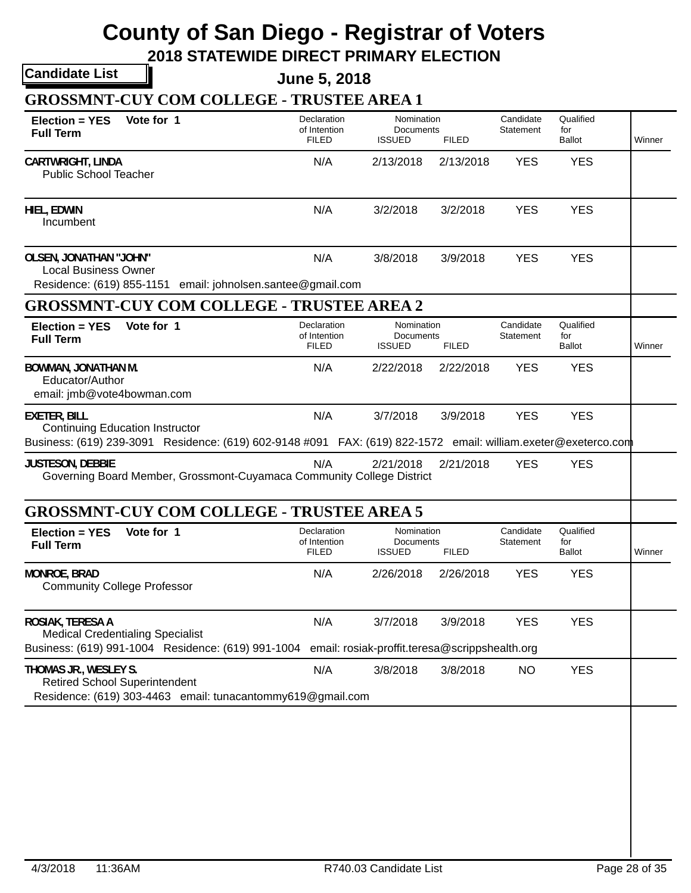**2018 STATEWIDE DIRECT PRIMARY ELECTION**

**Candidate List**

**June 5, 2018**

**GROSSMNT-CUY COM COLLEGE - TRUSTEE AREA 1**

| $Election = YES$<br><b>Full Term</b>                                        | Vote for 1                                                                                                                                               | Declaration<br>of Intention<br><b>FILED</b> | Nomination<br>Documents<br><b>ISSUED</b>                   | <b>FILED</b> | Candidate<br>Statement | Qualified<br>for<br><b>Ballot</b> | Winner |
|-----------------------------------------------------------------------------|----------------------------------------------------------------------------------------------------------------------------------------------------------|---------------------------------------------|------------------------------------------------------------|--------------|------------------------|-----------------------------------|--------|
| <b>CARTWRIGHT, LINDA</b><br><b>Public School Teacher</b>                    |                                                                                                                                                          | N/A                                         | 2/13/2018                                                  | 2/13/2018    | <b>YES</b>             | <b>YES</b>                        |        |
| HIEL, EDWIN<br>Incumbent                                                    |                                                                                                                                                          | N/A                                         | 3/2/2018                                                   | 3/2/2018     | <b>YES</b>             | <b>YES</b>                        |        |
| <b>OLSEN, JONATHAN "JOHN"</b><br><b>Local Business Owner</b>                | Residence: (619) 855-1151 email: johnolsen.santee@gmail.com                                                                                              | N/A                                         | 3/8/2018                                                   | 3/9/2018     | <b>YES</b>             | <b>YES</b>                        |        |
|                                                                             | <b>GROSSMNT-CUY COM COLLEGE - TRUSTEE AREA 2</b>                                                                                                         |                                             |                                                            |              |                        |                                   |        |
| Election = YES<br><b>Full Term</b>                                          | Vote for 1                                                                                                                                               | Declaration<br>of Intention<br><b>FILED</b> | Nomination<br>Documents<br><b>ISSUED</b>                   | <b>FILED</b> | Candidate<br>Statement | Qualified<br>for<br><b>Ballot</b> | Winner |
| <b>BOWMAN, JONATHAN M.</b><br>Educator/Author<br>email: jmb@vote4bowman.com |                                                                                                                                                          | N/A                                         | 2/22/2018                                                  | 2/22/2018    | <b>YES</b>             | <b>YES</b>                        |        |
| <b>EXETER, BILL</b>                                                         | <b>Continuing Education Instructor</b><br>Business: (619) 239-3091 Residence: (619) 602-9148 #091 FAX: (619) 822-1572 email: william.exeter@exeterco.com | N/A                                         | 3/7/2018                                                   | 3/9/2018     | <b>YES</b>             | <b>YES</b>                        |        |
| <b>JUSTESON, DEBBIE</b>                                                     | Governing Board Member, Grossmont-Cuyamaca Community College District                                                                                    | N/A                                         | 2/21/2018                                                  | 2/21/2018    | <b>YES</b>             | <b>YES</b>                        |        |
|                                                                             | <b>GROSSMNT-CUY COM COLLEGE - TRUSTEE AREA 5</b>                                                                                                         |                                             |                                                            |              |                        |                                   |        |
| Election = YES<br><b>Full Term</b>                                          | Vote for 1                                                                                                                                               | Declaration<br>of Intention<br><b>FILED</b> | Nomination<br>Documents<br><b>ISSUED</b>                   | <b>FILED</b> | Candidate<br>Statement | Qualified<br>for<br>Ballot        | Winner |
| MONROE, BRAD<br><b>Community College Professor</b>                          |                                                                                                                                                          | N/A                                         | 2/26/2018                                                  | 2/26/2018    | <b>YES</b>             | <b>YES</b>                        |        |
| ROSIAK, TERESA A                                                            | <b>Medical Credentialing Specialist</b><br>Business: (619) 991-1004 Residence: (619) 991-1004                                                            | N/A                                         | 3/7/2018<br>email: rosiak-proffit.teresa@scrippshealth.org | 3/9/2018     | <b>YES</b>             | <b>YES</b>                        |        |
| THOMAS JR., WESLEY S.                                                       | <b>Retired School Superintendent</b><br>Residence: (619) 303-4463 email: tunacantommy619@gmail.com                                                       | N/A                                         | 3/8/2018                                                   | 3/8/2018     | <b>NO</b>              | <b>YES</b>                        |        |
|                                                                             |                                                                                                                                                          |                                             |                                                            |              |                        |                                   |        |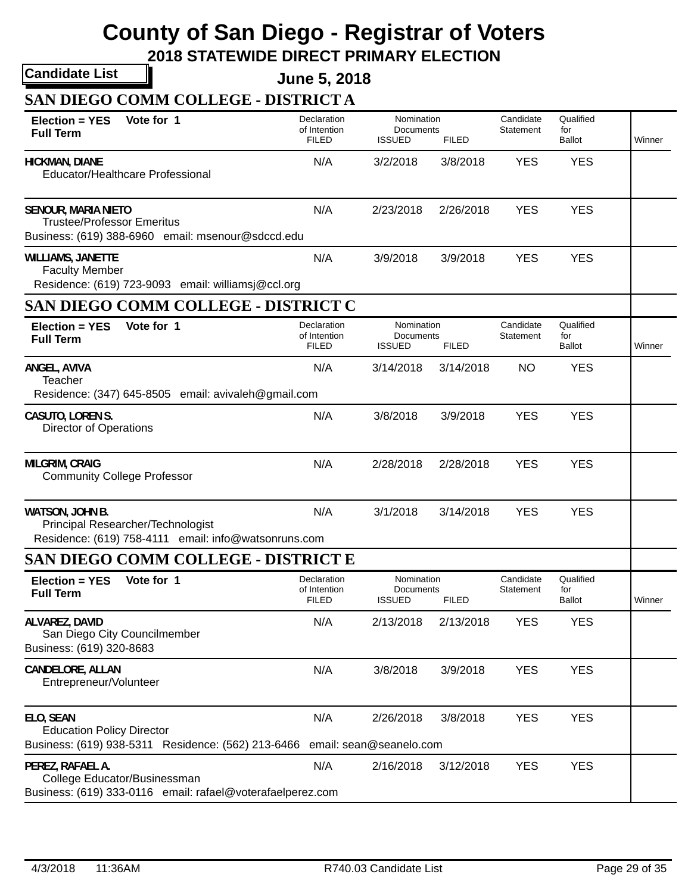**2018 STATEWIDE DIRECT PRIMARY ELECTION**

**Candidate List**

**June 5, 2018**

**SAN DIEGO COMM COLLEGE - DISTRICT A**

| Vote for 1<br>Election = YES<br><b>Full Term</b>                                                                            | Declaration<br>of Intention<br><b>FILED</b> | Nomination<br>Documents<br><b>ISSUED</b> | <b>FILED</b> | Candidate<br>Statement | Qualified<br>for<br><b>Ballot</b> | Winner |
|-----------------------------------------------------------------------------------------------------------------------------|---------------------------------------------|------------------------------------------|--------------|------------------------|-----------------------------------|--------|
| <b>HICKMAN, DIANE</b><br>Educator/Healthcare Professional                                                                   | N/A                                         | 3/2/2018                                 | 3/8/2018     | <b>YES</b>             | <b>YES</b>                        |        |
| <b>SENOUR, MARIA NIETO</b><br><b>Trustee/Professor Emeritus</b><br>Business: (619) 388-6960 email: msenour@sdccd.edu        | N/A                                         | 2/23/2018                                | 2/26/2018    | <b>YES</b>             | <b>YES</b>                        |        |
| <b>WILLIAMS, JANETTE</b><br><b>Faculty Member</b><br>Residence: (619) 723-9093 email: williamsj@ccl.org                     | N/A                                         | 3/9/2018                                 | 3/9/2018     | <b>YES</b>             | <b>YES</b>                        |        |
| SAN DIEGO COMM COLLEGE - DISTRICT C                                                                                         |                                             |                                          |              |                        |                                   |        |
| Vote for 1<br>Election = YES<br><b>Full Term</b>                                                                            | Declaration<br>of Intention<br><b>FILED</b> | Nomination<br>Documents<br><b>ISSUED</b> | <b>FILED</b> | Candidate<br>Statement | Qualified<br>for<br><b>Ballot</b> | Winner |
| ANGEL, AVIVA<br>Teacher<br>Residence: (347) 645-8505 email: avivaleh@gmail.com                                              | N/A                                         | 3/14/2018                                | 3/14/2018    | <b>NO</b>              | <b>YES</b>                        |        |
| CASUTO, LOREN S.<br><b>Director of Operations</b>                                                                           | N/A                                         | 3/8/2018                                 | 3/9/2018     | <b>YES</b>             | <b>YES</b>                        |        |
| <b>MILGRIM, CRAIG</b><br><b>Community College Professor</b>                                                                 | N/A                                         | 2/28/2018                                | 2/28/2018    | <b>YES</b>             | <b>YES</b>                        |        |
| WATSON, JOHN B.<br>Principal Researcher/Technologist<br>Residence: (619) 758-4111 email: info@watsonruns.com                | N/A                                         | 3/1/2018                                 | 3/14/2018    | <b>YES</b>             | <b>YES</b>                        |        |
| SAN DIEGO COMM COLLEGE - DISTRICT E                                                                                         |                                             |                                          |              |                        |                                   |        |
| Vote for 1<br>Election = YES<br><b>Full Term</b>                                                                            | Declaration<br>of Intention<br><b>FILED</b> | Nomination<br>Documents<br><b>ISSUED</b> | <b>FILED</b> | Candidate<br>Statement | Qualified<br>for<br>Ballot        | Winner |
| ALVAREZ, DAVID<br>San Diego City Councilmember<br>Business: (619) 320-8683                                                  | N/A                                         | 2/13/2018                                | 2/13/2018    | <b>YES</b>             | <b>YES</b>                        |        |
| CANDELORE, ALLAN<br>Entrepreneur/Volunteer                                                                                  | N/A                                         | 3/8/2018                                 | 3/9/2018     | <b>YES</b>             | <b>YES</b>                        |        |
| ELO, SEAN<br><b>Education Policy Director</b><br>Business: (619) 938-5311 Residence: (562) 213-6466 email: sean@seanelo.com | N/A                                         | 2/26/2018                                | 3/8/2018     | <b>YES</b>             | <b>YES</b>                        |        |
| PEREZ, RAFAEL A.<br>College Educator/Businessman<br>Business: (619) 333-0116 email: rafael@voterafaelperez.com              | N/A                                         | 2/16/2018                                | 3/12/2018    | <b>YES</b>             | <b>YES</b>                        |        |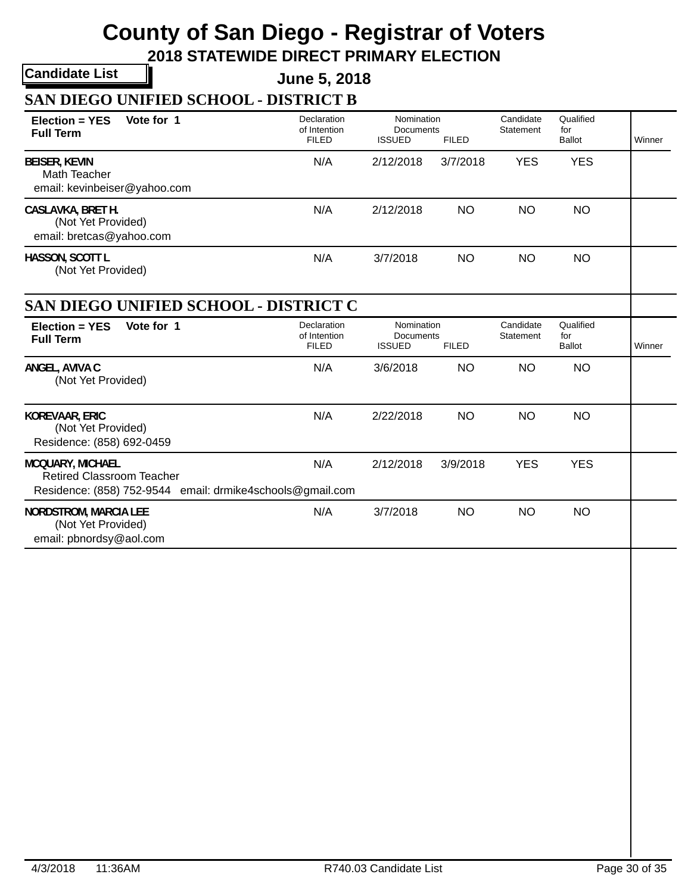**2018 STATEWIDE DIRECT PRIMARY ELECTION**

**Candidate List**

**June 5, 2018**

**SAN DIEGO UNIFIED SCHOOL - DISTRICT B**

| Vote for 1<br>$Election = YES$                                                                                           | Declaration<br>of Intention                 | Nomination<br>Documents                  |              | Candidate<br>Statement | Qualified<br>for                  |        |
|--------------------------------------------------------------------------------------------------------------------------|---------------------------------------------|------------------------------------------|--------------|------------------------|-----------------------------------|--------|
| <b>Full Term</b>                                                                                                         | <b>FILED</b>                                | <b>ISSUED</b>                            | <b>FILED</b> |                        | <b>Ballot</b>                     | Winner |
| <b>BEISER, KEVIN</b><br>Math Teacher<br>email: kevinbeiser@yahoo.com                                                     | N/A                                         | 2/12/2018                                | 3/7/2018     | <b>YES</b>             | <b>YES</b>                        |        |
| CASLAVKA, BRET H.<br>(Not Yet Provided)<br>email: bretcas@yahoo.com                                                      | N/A                                         | 2/12/2018                                | <b>NO</b>    | <b>NO</b>              | NO                                |        |
| HASSON, SCOTT L<br>(Not Yet Provided)                                                                                    | N/A                                         | 3/7/2018                                 | <b>NO</b>    | <b>NO</b>              | <b>NO</b>                         |        |
| SAN DIEGO UNIFIED SCHOOL - DISTRICT C                                                                                    |                                             |                                          |              |                        |                                   |        |
| Vote for 1<br>$Election = YES$<br><b>Full Term</b>                                                                       | Declaration<br>of Intention<br><b>FILED</b> | Nomination<br>Documents<br><b>ISSUED</b> | <b>FILED</b> | Candidate<br>Statement | Qualified<br>for<br><b>Ballot</b> | Winner |
| ANGEL, AVIVA C<br>(Not Yet Provided)                                                                                     | N/A                                         | 3/6/2018                                 | <b>NO</b>    | <b>NO</b>              | <b>NO</b>                         |        |
| <b>KOREVAAR, ERIC</b><br>(Not Yet Provided)<br>Residence: (858) 692-0459                                                 | N/A                                         | 2/22/2018                                | <b>NO</b>    | <b>NO</b>              | <b>NO</b>                         |        |
| <b>MCQUARY, MICHAEL</b><br><b>Retired Classroom Teacher</b><br>Residence: (858) 752-9544 email: drmike4schools@gmail.com | N/A                                         | 2/12/2018                                | 3/9/2018     | <b>YES</b>             | <b>YES</b>                        |        |
| <b>NORDSTROM, MARCIA LEE</b><br>(Not Yet Provided)<br>email: pbnordsy@aol.com                                            | N/A                                         | 3/7/2018                                 | <b>NO</b>    | <b>NO</b>              | <b>NO</b>                         |        |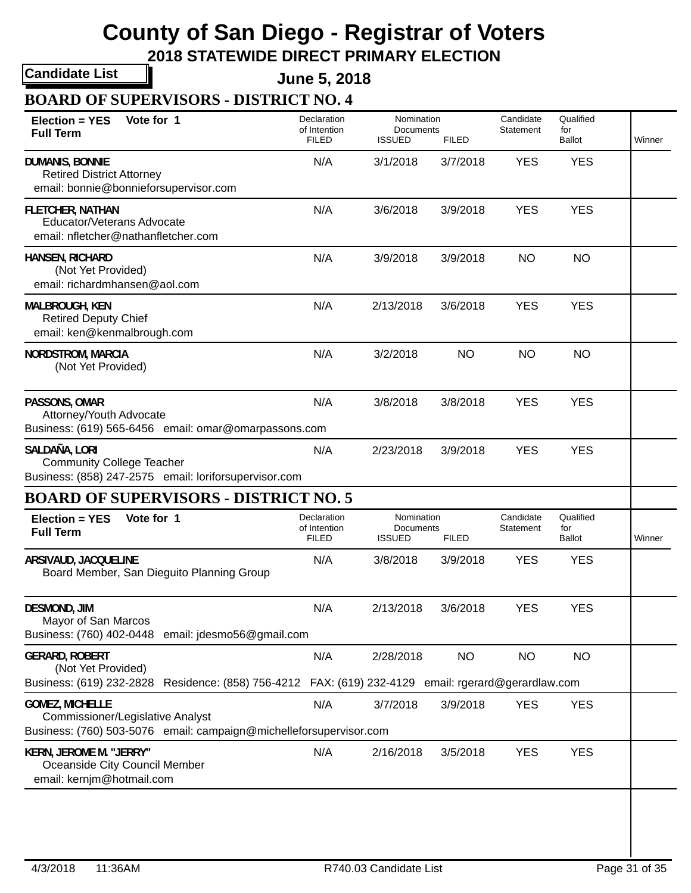**2018 STATEWIDE DIRECT PRIMARY ELECTION**

**Candidate List**

**June 5, 2018**

**BOARD OF SUPERVISORS - DISTRICT NO. 4**

| Vote for 1<br><b>Election = YES</b><br><b>Full Term</b>                                                                          | Declaration<br>of Intention<br><b>FILED</b> | Nomination<br>Documents<br><b>ISSUED</b> | <b>FILED</b> | Candidate<br>Statement | Qualified<br>for<br><b>Ballot</b> | Winner |
|----------------------------------------------------------------------------------------------------------------------------------|---------------------------------------------|------------------------------------------|--------------|------------------------|-----------------------------------|--------|
| <b>DUMANIS, BONNIE</b><br><b>Retired District Attorney</b><br>email: bonnie@bonnieforsupervisor.com                              | N/A                                         | 3/1/2018                                 | 3/7/2018     | <b>YES</b>             | <b>YES</b>                        |        |
| <b>FLETCHER, NATHAN</b><br>Educator/Veterans Advocate<br>email: nfletcher@nathanfletcher.com                                     | N/A                                         | 3/6/2018                                 | 3/9/2018     | <b>YES</b>             | <b>YES</b>                        |        |
| <b>HANSEN, RICHARD</b><br>(Not Yet Provided)<br>email: richardmhansen@aol.com                                                    | N/A                                         | 3/9/2018                                 | 3/9/2018     | <b>NO</b>              | <b>NO</b>                         |        |
| <b>MALBROUGH, KEN</b><br><b>Retired Deputy Chief</b><br>email: ken@kenmalbrough.com                                              | N/A                                         | 2/13/2018                                | 3/6/2018     | <b>YES</b>             | <b>YES</b>                        |        |
| <b>NORDSTROM, MARCIA</b><br>(Not Yet Provided)                                                                                   | N/A                                         | 3/2/2018                                 | <b>NO</b>    | <b>NO</b>              | <b>NO</b>                         |        |
| PASSONS, OMAR<br>Attorney/Youth Advocate<br>Business: (619) 565-6456 email: omar@omarpassons.com                                 | N/A                                         | 3/8/2018                                 | 3/8/2018     | <b>YES</b>             | <b>YES</b>                        |        |
| SALDAÑA, LORI<br><b>Community College Teacher</b><br>Business: (858) 247-2575 email: loriforsupervisor.com                       | N/A                                         | 2/23/2018                                | 3/9/2018     | <b>YES</b>             | <b>YES</b>                        |        |
| <b>BOARD OF SUPERVISORS - DISTRICT NO. 5</b>                                                                                     |                                             |                                          |              |                        |                                   |        |
| Vote for 1<br><b>Election = YES</b><br><b>Full Term</b>                                                                          | Declaration<br>of Intention<br><b>FILED</b> | Nomination<br>Documents<br><b>ISSUED</b> | <b>FILED</b> | Candidate<br>Statement | Qualified<br>for<br><b>Ballot</b> | Winner |
| ARSIVAUD, JACQUELINE<br>Board Member, San Dieguito Planning Group                                                                | N/A                                         | 3/8/2018                                 | 3/9/2018     | <b>YES</b>             | <b>YES</b>                        |        |
| <b>DESMOND, JIM</b><br>Mayor of San Marcos<br>Business: (760) 402-0448 email: jdesmo56@gmail.com                                 | N/A                                         | 2/13/2018                                | 3/6/2018     | <b>YES</b>             | <b>YES</b>                        |        |
| <b>GERARD, ROBERT</b><br>(Not Yet Provided)                                                                                      | N/A                                         | 2/28/2018                                | <b>NO</b>    | <b>NO</b>              | <b>NO</b>                         |        |
| Business: (619) 232-2828 Residence: (858) 756-4212 FAX: (619) 232-4129 email: rgerard@gerardlaw.com                              |                                             |                                          |              |                        |                                   |        |
| <b>GOMEZ, MICHELLE</b><br>Commissioner/Legislative Analyst<br>Business: (760) 503-5076 email: campaign@michelleforsupervisor.com | N/A                                         | 3/7/2018                                 | 3/9/2018     | <b>YES</b>             | <b>YES</b>                        |        |
| KERN, JEROME M. "JERRY"<br>Oceanside City Council Member<br>email: kernjm@hotmail.com                                            | N/A                                         | 2/16/2018                                | 3/5/2018     | <b>YES</b>             | <b>YES</b>                        |        |
|                                                                                                                                  |                                             |                                          |              |                        |                                   |        |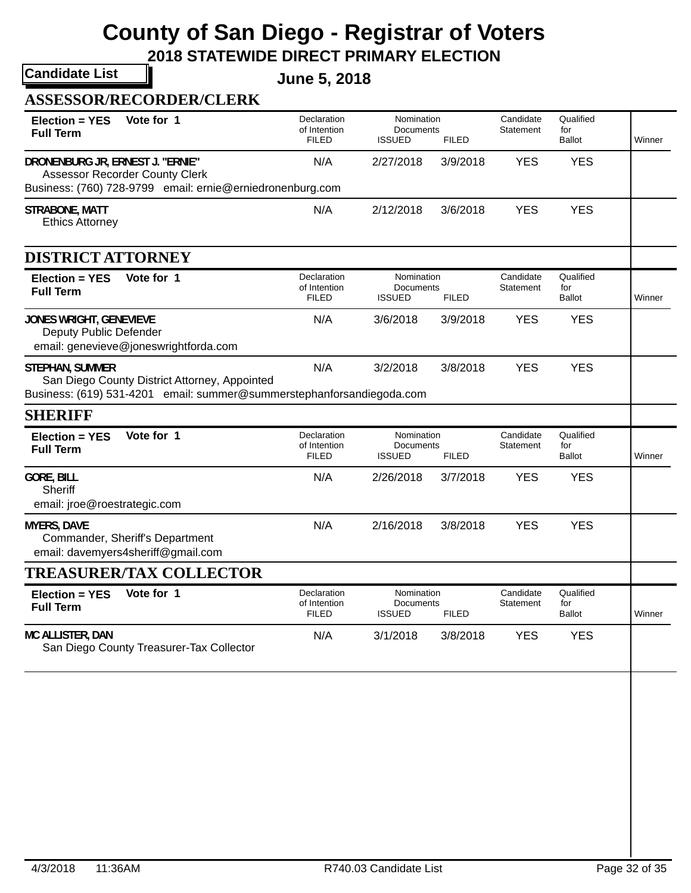**2018 STATEWIDE DIRECT PRIMARY ELECTION**

**Candidate List**

**June 5, 2018**

| <b>ASSESSOR/RECORDER/CLERK</b> |  |
|--------------------------------|--|
|--------------------------------|--|

| Vote for 1<br><b>Election = YES</b><br><b>Full Term</b>                                                                                          | Declaration<br>of Intention<br><b>FILED</b> | Nomination<br>Documents<br><b>ISSUED</b>                 | <b>FILED</b> | Candidate<br>Statement | Qualified<br>for<br><b>Ballot</b> | Winner |
|--------------------------------------------------------------------------------------------------------------------------------------------------|---------------------------------------------|----------------------------------------------------------|--------------|------------------------|-----------------------------------|--------|
| DRONENBURG JR, ERNEST J. "ERNIE"<br><b>Assessor Recorder County Clerk</b><br>Business: (760) 728-9799 email: ernie@erniedronenburg.com           | N/A                                         | 2/27/2018                                                | 3/9/2018     | <b>YES</b>             | <b>YES</b>                        |        |
| STRABONE, MATT<br><b>Ethics Attorney</b>                                                                                                         | N/A                                         | 2/12/2018                                                | 3/6/2018     | <b>YES</b>             | <b>YES</b>                        |        |
| DISTRICT ATTORNEY                                                                                                                                |                                             |                                                          |              |                        |                                   |        |
| Vote for 1<br>Election = YES<br><b>Full Term</b>                                                                                                 | Declaration<br>of Intention<br><b>FILED</b> | Nomination<br>Documents<br><b>ISSUED</b>                 | <b>FILED</b> | Candidate<br>Statement | Qualified<br>for<br>Ballot        | Winner |
| <b>JONES WRIGHT, GENEVIEVE</b><br>Deputy Public Defender<br>email: genevieve@joneswrightforda.com                                                | N/A                                         | 3/6/2018                                                 | 3/9/2018     | <b>YES</b>             | <b>YES</b>                        |        |
| <b>STEPHAN, SUMMER</b><br>San Diego County District Attorney, Appointed<br>Business: (619) 531-4201 email: summer@summerstephanforsandiegoda.com | N/A                                         | 3/2/2018                                                 | 3/8/2018     | <b>YES</b>             | <b>YES</b>                        |        |
| <b>SHERIFF</b>                                                                                                                                   |                                             |                                                          |              |                        |                                   |        |
| Vote for 1<br><b>Election = YES</b><br><b>Full Term</b>                                                                                          | Declaration<br>of Intention<br><b>FILED</b> | Nomination<br>Documents<br><b>ISSUED</b><br><b>FILED</b> |              | Candidate<br>Statement | Qualified<br>for<br><b>Ballot</b> | Winner |
| <b>GORE, BILL</b><br>Sheriff<br>email: jroe@roestrategic.com                                                                                     | N/A                                         | 2/26/2018                                                | 3/7/2018     | <b>YES</b>             | <b>YES</b>                        |        |
| <b>MYERS, DAVE</b><br>Commander, Sheriff's Department<br>email: davemyers4sheriff@gmail.com                                                      | N/A                                         | 2/16/2018                                                | 3/8/2018     | <b>YES</b>             | <b>YES</b>                        |        |
| <b>TREASURER/TAX COLLECTOR</b>                                                                                                                   |                                             |                                                          |              |                        |                                   |        |
| Vote for 1<br><b>Election = YES</b><br><b>Full Term</b>                                                                                          | Declaration<br>of Intention<br><b>FILED</b> | Nomination<br>Documents<br>ISSUED                        | <b>FILED</b> | Candidate<br>Statement | Qualified<br>for<br>Ballot        | Winner |
| MC ALLISTER, DAN<br>San Diego County Treasurer-Tax Collector                                                                                     | N/A                                         | 3/1/2018                                                 | 3/8/2018     | <b>YES</b>             | <b>YES</b>                        |        |
|                                                                                                                                                  |                                             |                                                          |              |                        |                                   |        |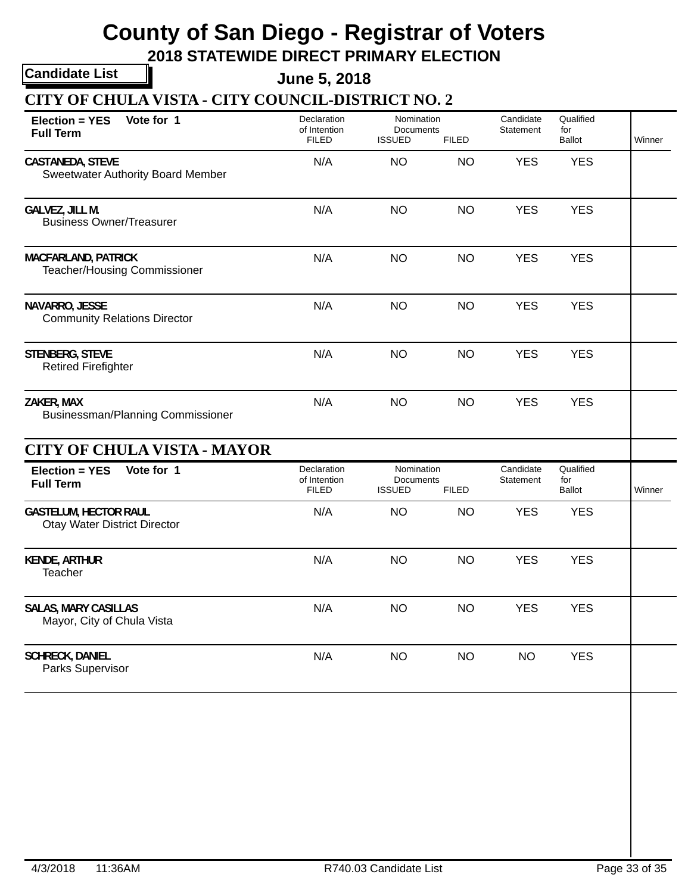**2018 STATEWIDE DIRECT PRIMARY ELECTION**

**Candidate List**

**June 5, 2018**

**CITY OF CHULA VISTA - CITY COUNCIL-DISTRICT NO. 2**

| Vote for 1<br><b>Election = YES</b><br><b>Full Term</b>             | Declaration<br>of Intention<br><b>FILED</b> | Nomination<br>Documents<br><b>ISSUED</b><br><b>FILED</b> |              | Candidate<br>Statement | Qualified<br>for<br><b>Ballot</b> | Winner |  |
|---------------------------------------------------------------------|---------------------------------------------|----------------------------------------------------------|--------------|------------------------|-----------------------------------|--------|--|
| CASTANEDA, STEVE<br><b>Sweetwater Authority Board Member</b>        | N/A                                         | <b>NO</b>                                                | <b>NO</b>    | <b>YES</b>             | <b>YES</b>                        |        |  |
| GALVEZ, JILL M.<br><b>Business Owner/Treasurer</b>                  | N/A                                         | <b>NO</b>                                                | <b>NO</b>    | <b>YES</b>             | <b>YES</b>                        |        |  |
| <b>MACFARLAND, PATRICK</b><br>Teacher/Housing Commissioner          | N/A                                         | <b>NO</b>                                                | <b>NO</b>    | <b>YES</b>             | <b>YES</b>                        |        |  |
| NAVARRO, JESSE<br><b>Community Relations Director</b>               | N/A                                         | <b>NO</b>                                                | <b>NO</b>    | <b>YES</b>             | <b>YES</b>                        |        |  |
| STENBERG, STEVE<br><b>Retired Firefighter</b>                       | N/A                                         | <b>NO</b>                                                | <b>NO</b>    | <b>YES</b>             | <b>YES</b>                        |        |  |
| ZAKER, MAX<br>Businessman/Planning Commissioner                     | N/A                                         | <b>NO</b>                                                | <b>NO</b>    | <b>YES</b>             | <b>YES</b>                        |        |  |
| <b>CITY OF CHULA VISTA - MAYOR</b>                                  |                                             |                                                          |              |                        |                                   |        |  |
| Vote for 1<br><b>Election = YES</b><br><b>Full Term</b>             | Declaration<br>of Intention<br><b>FILED</b> | Nomination<br>Documents<br><b>ISSUED</b>                 | <b>FILED</b> | Candidate<br>Statement | Qualified<br>for<br><b>Ballot</b> | Winner |  |
| <b>GASTELUM, HECTOR RAUL</b><br><b>Otay Water District Director</b> | N/A                                         | <b>NO</b>                                                | <b>NO</b>    | <b>YES</b>             | <b>YES</b>                        |        |  |
| <b>KENDE, ARTHUR</b><br>Teacher                                     | N/A                                         | <b>NO</b>                                                | <b>NO</b>    | <b>YES</b>             | <b>YES</b>                        |        |  |
| <b>SALAS, MARY CASILLAS</b><br>Mayor, City of Chula Vista           | N/A                                         | <b>NO</b>                                                | <b>NO</b>    | <b>YES</b>             | <b>YES</b>                        |        |  |
| <b>SCHRECK, DANIEL</b><br>Parks Supervisor                          | N/A                                         | <b>NO</b>                                                | <b>NO</b>    | <b>NO</b>              | <b>YES</b>                        |        |  |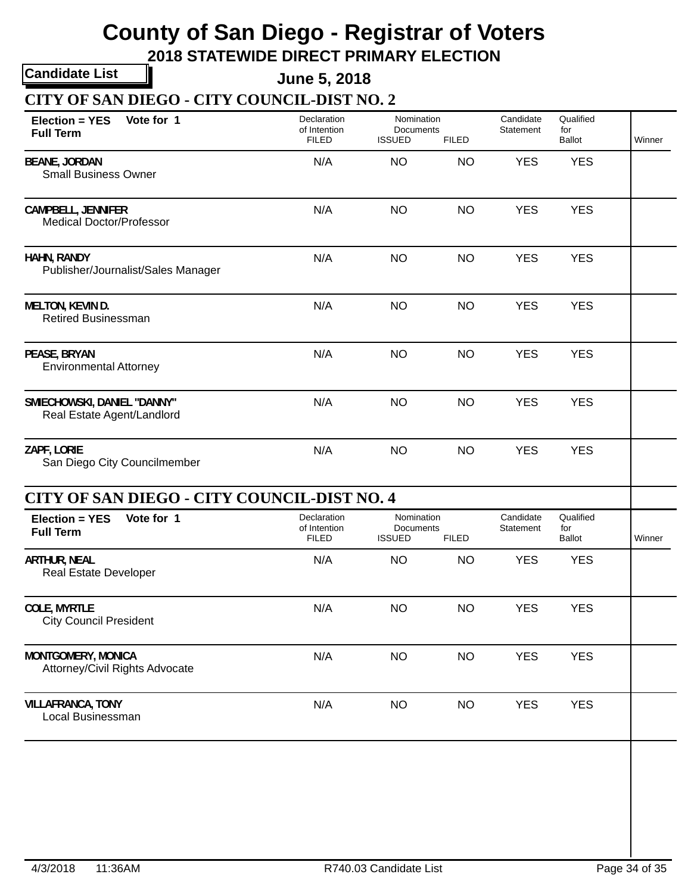**2018 STATEWIDE DIRECT PRIMARY ELECTION**

**Candidate List**

**June 5, 2018**

**CITY OF SAN DIEGO - CITY COUNCIL-DIST NO. 2**

| Vote for 1<br><b>Election = YES</b><br><b>Full Term</b>      | Declaration<br>of Intention<br><b>FILED</b> | Nomination<br>Documents<br><b>ISSUED</b><br><b>FILED</b> |           | Candidate<br>Statement | Qualified<br>for<br><b>Ballot</b> | Winner |
|--------------------------------------------------------------|---------------------------------------------|----------------------------------------------------------|-----------|------------------------|-----------------------------------|--------|
| <b>BEANE, JORDAN</b><br><b>Small Business Owner</b>          | N/A                                         | <b>NO</b>                                                | <b>NO</b> | <b>YES</b>             | <b>YES</b>                        |        |
| <b>CAMPBELL, JENNIFER</b><br><b>Medical Doctor/Professor</b> | N/A                                         | <b>NO</b>                                                | <b>NO</b> | <b>YES</b>             | <b>YES</b>                        |        |
| HAHN, RANDY<br>Publisher/Journalist/Sales Manager            | N/A                                         | <b>NO</b>                                                | <b>NO</b> | <b>YES</b>             | <b>YES</b>                        |        |
| MELTON, KEVIN D.<br><b>Retired Businessman</b>               | N/A                                         | <b>NO</b>                                                | <b>NO</b> | <b>YES</b>             | <b>YES</b>                        |        |
| PEASE, BRYAN<br><b>Environmental Attorney</b>                | N/A                                         | <b>NO</b>                                                | <b>NO</b> | <b>YES</b>             | <b>YES</b>                        |        |
| SMIECHOWSKI, DANIEL "DANNY"<br>Real Estate Agent/Landlord    | N/A                                         | <b>NO</b>                                                | <b>NO</b> | <b>YES</b>             | <b>YES</b>                        |        |
| ZAPF, LORIE<br>San Diego City Councilmember                  | N/A                                         | <b>NO</b>                                                | <b>NO</b> | <b>YES</b>             | <b>YES</b>                        |        |
| CITY OF SAN DIEGO - CITY COUNCIL-DIST NO. 4                  |                                             |                                                          |           |                        |                                   |        |
| Vote for 1<br>Election = YES<br><b>Full Term</b>             | Declaration<br>of Intention<br><b>FILED</b> | Nomination<br>Documents<br><b>ISSUED</b><br><b>FILED</b> |           | Candidate<br>Statement | Qualified<br>for<br>Ballot        | Winner |
| <b>ARTHUR, NEAL</b><br><b>Real Estate Developer</b>          | N/A                                         | <b>NO</b>                                                | <b>NO</b> | <b>YES</b>             | <b>YES</b>                        |        |
| COLE, MYRTLE<br><b>City Council President</b>                | N/A                                         | <b>NO</b>                                                | <b>NO</b> | <b>YES</b>             | <b>YES</b>                        |        |
| MONTGOMERY, MONICA<br>Attorney/Civil Rights Advocate         | N/A                                         | <b>NO</b>                                                | <b>NO</b> | <b>YES</b>             | <b>YES</b>                        |        |
| <b>VILLAFRANCA, TONY</b><br>Local Businessman                | N/A                                         | <b>NO</b>                                                | <b>NO</b> | <b>YES</b>             | <b>YES</b>                        |        |